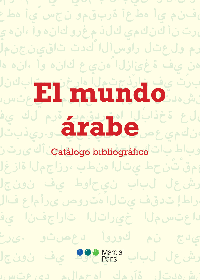**:دوسألاو ضيبألاب مليف يف امك ُّرمي ىفنم يأ هطعأ ةربقمو نجس َّيأ هطعأ ىرت نأ كنكمي كلذ مغرو كانه وأ ،انه يأ ةّرم ولعتل راوسألا ُّكدت تاقينجنملا رهن يف ةغئازلا ُهنيع كانه وأ ،انه هار ةبرُت يف نارّذجتملا هارخنم ،تابكنلا انشهدتل ٍةآرمك اهحمالم ديعتست El mundo ىلع ةخذابلا اهتردقمب ةرم لك يف** لاع عن بيابا المهوريون.<br>ان كه عصا**ت المن المن التار**ين و يفون بي ف

 **َروباط ٍباتك تاحفص ىلع امنأك ىرت نأ** Catálogo bibliográfico **َحمق ْتنحط يتلا هنطب ،رزاجملا ةازغلا ةرشعل لباب نيحاوط يف نونجلا اهراطإ تدقف يتلا ُهَتروص ىرأماع فالآ ةداعتسملا خيراتلا تاراجفنا يف ديدج نم كوروأ دعصتو .ىرخأ ةرشعل لباب نيحاوط يف نونجلا**

**انشهدتل ٍةآرمك اهحمالم ديعتست**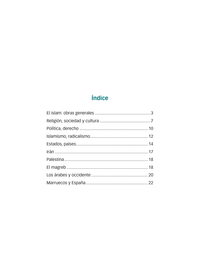# Índice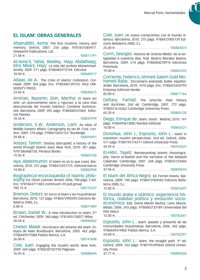### **EL ISLAM: OBRAS GENERALES**

Afsaruddin, Asma: The first muslims: history and memory. Oxford, 2007. 254 págs. 9781851684977. Oneworld Publications. Ltd. 21.48 E . . 100811791

Al-Isma´il, Tahia; Bewley, Hayy Abdalhaqq; Idris Mears, Hayy: La vida del profeta Muhammad. Sevilla, 2009. 511 págs. 9788485973194. Ediculsa 18.00 E . . 100849217

Allawi, Ali A.: The crisis of islamic civilization. Cornwall, 2009. 304 págs. Enc. 9780300139310. YALE UNI-VERSITY PRESS

23.46 E . . 100840675

Amirian, Nazanín; Zein, Martha: El Islam sin velo: un acercamiento serio y riguroso a la cara más desconocida del mundo islámico. Contiene ilustraciones. Barcelona, 2009. 392 págs. 9788484531869. Editorial Planeta

18.50 E . . 100837999

Anderson, E.W.; Anderson, Liam: An atlas of Middle Eastern affairs. Cartography by Ian M. Cool. London, 2009. 278 págs. 9780415455152. Routledge 29.88 E . . 100859491

Ansary, Tamim: Destiny distrupted: a history of the world through islamic eyes. New York, 2010. 381 págs. 9781586488130. Perseus Books

15.02 E . . 100867536

Aya, Abdelmumin: El Islam no es lo que crees. Barcelona, 2010. 237 págs. 9788472457775. Editorial Kairos 14.00 E . . 100882968

Biographical encyclopaedia of islamic philo-<br>SODNV. Ed. Oliver Leaman. Bristol, 2006. 700 págs. 2 Vol. Enc. 9781843711483 continuum int.pub.group 700.15 E . . 100772247

Bramon, Dolors: En torno al Islam y las musulmanas. Barcelona, 2010. 127 págs. 9788472905092 Edicions Bellaterra 2000, S.L. 8.00 E . . 100877889

Brown, Daniel W.: A new introduction to Islam. 2<sup>nd</sup> ed. Chichester, 2009. 360 págs. 9781405158077 Wiley 28.58 E . . 100890642

Chebel, Malek: Diccionario del amante del Islam. Dibujos de Alain Bouldouyre. Barcelona, 2005. 462 págs. 9788449317088 Paidos Iberica, S.A.  $26.00 \in 100741608$ 

Cole, Juan: Engaging the muslim world. New York, 2009. 269 págs. 9780230102750 Palgrave 16.45 E . . 100888694 Cole, Juan: Un nuevo compromiso con el mundo islámico. Barcelona, 2010. 275 págs. 9788472905139 Edicions Bellaterra 2000, S.L.

 $25.00 \in \ldots \ldots \ldots \ldots \ldots \ldots \ldots \ldots \ldots \ldots 100883073$ 

Corm, Georges: Historia de Oriente Medio: de la Antigüedad a nuestros días. Trad. Beatriz Morales Bastos. Barcelona, 2009. 214 págs. 9788483078914 Ediciones Peninsula

19.00 E . . 100852595

Corriente, Federico; Ahmed-Salem Ould Mo- hamed Baba.: Diccionario avanzado árabe. españolárabe. Barcelona, 2010. 1410 págs. Enc. 9788425424793 Empresa Editorial Herder

85.00 E . . 100871164

Daftary, Farhad: The isma'ilis: their history and doctrines. 2nd ed. Cambridge, 2007. 772 págs. 9780521616362 Cambridge University Press 65.20 E . . 100805128

Diego, Enrique de: Islam, visión . Madrid, 2010. 191 págs. 9788493613082 Rambla Editorial 14.00 E . . 100865521

Donohue, John J.; Esposito, John L.: Islam in transition: muslim perspectives. 2nd ed. Oxford, 2006. 511 págs. 9780195174311 Oxford University Press 34.94 E . . 100762625

El-Hibri, Tayeb: Reinterpreting Islamic historiography: Harun al-Rashid and the narrative of the Abbasid

Caliphate. Cambridge, 2007. 248 págs. 978052133046 Cambridge University Press

37.94 E . . 100890593

El Islam del África Negra. Ed. Ferrán Iniesta. Barcelona, 2009. 190 págs. 9788472904583 Edicions Bellaterra 2000, S.L.

15.00 E . . 100855697

El mundo árabe e islámico: experiencia his- tórica, realidad política y evolución socioeconómica. Eds. Gema Martín Muñoz, Leire Moure. Bilbao, 2006. 243 págs. 9788483733189 Universidad del Pais Vasco

12.00 E . . 100782641

Esposito, John L.: Islam: pasado y presente de las comunidades musulmanas. Barcelona, 2006. 342 págs. 9788449319402 Paidos Iberica, S.A.

24.00 E . . 100782291

Esposito, John L.: Islam, the straight path.  $3^{rd}$  ed. Oxford, 2009. 322 págs. 9780195399844 Oxford University Press 37.71 E . . 100890268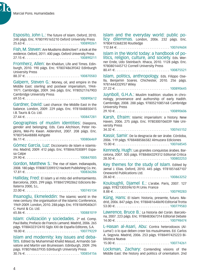Ŋ.

Esposito, John L.: The future of Islam. Oxford, 2010. 248 págs. Enc. 9780195165210 Oxford University Press 25.63 E . . 100890261

Fish, M. Steven: Are Muslisms distinctive?: a look at the evidence. Oxford, 2011. 400 pags. Oxford University Press  $27.15 \in . . . . . . . . . . . . . . . . . . . . . . . 100890211$ 

Fromherz, Allen: Ibn Khaldun, Life and Times. Edinburgh, 2010. 190 págs. Enc. 9780748639342 Edinburgh University Press

88.37 E . . 100870583

Galpern, Steven G.: Money, oil, and empire in the Middle East: sterling and postwar imperialism, 1944- 1971. Cambridge, 2009. 346 págs. Enc. 9780521767903 Cambridge University Press

 $69.55 \in . . . . . . . . . . . . . . . . . . . . . . . 100890612$ 

Gardner, David: Last chance: the Middle East in the balance. London, 2009. 229 págs. Enc. 9781848850415 I.B. Tauris & Co. Ltd.

27.44 E . . 100847281

Geographies of muslim identities: Diaspora, gender and belonging. Eds. Cara Aitchison, Peter Hopkins, Mei-Po Kwan. Aldershot, 2007. 208 págs. Enc. 9780754648888 Ashgate

86.11 E . . 100806469

Gómez García, Luz: Diccionario de Islam e islamismo. Madrid, 2009. 412 págs. Enc. 9788467030891 Espasa Calpe 29.90 E . . 100847005

Gordon, Matthew S.: The rise of Islam. Indianapolis, 2008. 180 págs. 9780872209312 Hackett Publishing Co. Inc. 17.81 E . . 100836286

Halliday, Fred: El islam y el mito del enfrentamiento. Barcelona, 2005. 299 págs. 9788472902862 Edicions Bellaterra 2000, S.L. 22.00 E . . 100745134

Ihsanoglu, Ekmeleddin: The islamic world in the new century: the organisation of the Islamic Conference, 1969-2009. London, 2010. 288 págs. Enc. 9781849040631 C. Hurst & Co. Ltd.

65.86 E . . 100881019

Islam: civilización y sociedades. 2ª ed. Comp. Paul Balta; Prefacio de Francis Lamand. Madrid, 2006. 265 págs. 9788432312410 Siglo XXI de España Editores, S.A. 18.00 E . . 100779229

Islam and modernity: key issues and deba- tes. Edited by Muhammad Khalid Masud, Armando Salvatore and Martin van Bruinessen. Edinburgh, 2009. 296 págs. 9780748637935 Edinburgh University Press 30.76 E . . 100854156 Islam and the everyday world: public po- licy dilemmas. London, 2006. 232 págs. Enc. 9780415368230 Routledge

112.84 E . . 100769604

Islam in the World today: a handbook of po- litics, religion, culture, and society. Eds. Werner Ende, Udo Steinbach. Ithaca, 2010. 1128 págs. Enc. 9780801445712 Cornell University Press

80.41 E . . 100875521

Islam, politics, anthropology. Eds. Filippo Osella, Benjamin Soares. Chichester, 2010. 256 págs. 9781444332957 Wiley 27.22 E . . 100890645

Juynboll, G.H.A.: Muslim tradition: studies in chronology, provenance and authorship of early Hadith. Cambridge, 2008. 288 págs. 9780521085168 Cambridge University Press

 $29.10 \in 100890606$ 

Karsh, Efraim: Islamic imperialism: a history. New Haven, 2006. 275 págs. Enc. 9780300106039 Yale University Press

34.32 E . . 100765152

Kassir, Samir: De la desgracia de ser árabe. Córdoba, 2006. 119 págs. 9788488586582 Almuzara Ediciones 15.00 E . . 100768545

Kennedy, Hugh: Las grandes conquistas árabes. Barcelona, 2007. 505 págs. 9788484329312 Editorial Critica 28.50 E . . 100802253

Key themes for the study of Islam. Edited by Jamal J. Elias. Oxford, 2010. 445 págs. 9781851687107 Oneworld Publications Ltd. 28.60 E . . 100863252

Kouloughli, Djamel E.: L'arabe. Paris, 2007. 127 págs. 9782130559610 Pr.Univ. France  $8.88 \in . \ldots \ldots \ldots \ldots \ldots \ldots \ldots \ldots \ldots \ldots \ldots \ldots 100790283$ 

Küng, Hans: El Islam: historia, presente, futuro. Madrid, 2006. 847 págs. Enc. 9788481648690 Editorial Trotta 53.00 E . . 100779583

Lawrence, Bruce B.: La historia del Corán. Barcelona, 2007. 223 págs. Enc. 9788483067314 Editorial Debate 14.00 E . . 100798474

L-Hasan al-Asari, Abu: Contra heterodoxos (Al-Luma'): o lo que deben creer los musulmanes. Ed. Carlos A. Segovia. Madrid, 2006. 253 págs. 9788497425223 Biblioteca Nueva  $15.00 \in . . . . . . . . . . . . . . . . . . . . . . . . 100774261$ 

Lockman, Zachary: Contending visions of the Middle East: the history and politics of orientalism. 2nd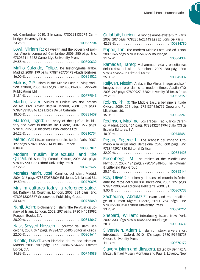ed. Cambridge, 2010. 316 págs. 9780521133074 Cambridge University Press 23.25 E . . 100867704 Lowi, Miriam R.: Oil wealth and the poverty of politics: Algeria compared. Cambridge, 2009. 250 págs. Enc. 9780521113182 Cambridge University Press 69.55 E . . 100890632 Maíllo Salgado, Felipe: De historiografía árabe. Madrid, 2009. 199 págs. 9788496775473 Abada Editores  $16.00 \in 100851522$ Makris, G.P.: Islam in the Middle East: a living tradition. Oxford, 2006. 343 págs. 9781450116039 Blackwell Publications Ltd  $31.81 \in$  100779043 Martín, Javier: Suníes y Chiíes: los dos brazos de Alá. Prol. Xavier Batalla. Madrid, 2008. 333 págs. 9788483193846 Los Libros De La Catarata  $18.00 \in .\ldots.\ldots.\ldots.\ldots.\ldots.\ldots.100831459$ Mattson, Ingrid: The story of the Qur'an: its history and place in muslim life. Oxford, 2007. 272 págs. 9781405122580 Blackwell Publications Ltd 24.22 E . . 100810754 Mérad, Ali: L'Islam contemporain. 8e éd. Paris, 2007. 127 págs. 9782130565314 Pr.Univ. France 8.88 E . . 100807841 Modern muslim intellectuals and the Qur'an. Ed. Suha Taji-Farouki. Oxford, 2006. 341 págs. 9780197200032 Oxford University Press 37.22 E . . 100762627 Morales Marín, José: Caminos del Islam. Madrid, 2006. 316 págs. 9788470575006 Ediciones Cristiandad S.L.  $19.50 \in . . . . . . . . . . . . . . . . . . . . . . . 100770695$ Muslim cultures today: a reference guide. Ed. Kathryn M. Coughlin. London, 2006. 234 págs. Enc. 9780313323867 Greenwood Publishing Group.  $64.44 \in \dots, \dots, \dots, \dots, \dots, \dots, \dots, 100775860$ Nanji, Azim: Dictionary of Islam: The Penguin dictionary of Islam. London, 2008. 297 págs. 9780141013992 Penguin Books, S.A. 20.00 E . . 100818647 Nasr, Seyyed Hossein: El corazón del Islam. Barcelona, 2007. 374 págs. 9788472456495 Editorial Kairos 22.00 E . . 100801611 Nicolle, David: Atlas histórico del mundo islámico. Madrid, 2005. 189 págs. Enc. 9788497646451 Edimat Libros, S.A.  $14.96 \in . . . . . . . . . . . . . . . . . . . . . . . 100744589$ 

Oulahbib, Lucien: Le monde arabe existe-t-il?. Paris, 2008. 207 págs. 9782851622143 Les Editions De Paris 42.58 E . . 100814780 Pappé, Ilan: The modern Middle East. 2nd ed. Oxon, 2009. 366 págs. 9780415543729 Routledge 31.67 E . . 100864339 Ramadan, Tareq: Muhammad: vida y enseñanzas del Profeta del Islam. Barcelona, 2009. 280 págs. Enc. 9788472456952 Editorial Kairos  $25.00 \in$  100845332 Reijwan, Nissim: Arabs in the Mirror: images and selfimages from pre-islamic to modern times. Austin (TX), 2008. 248 págs. 9780292717282 University Of Texas Press 29.28 E . . 100823160 Robins, Philip: The Middle East: a beginner´s guide. Oxford, 2009. 226 págs. 9781851686759 Oneworld Publications Ltd. 15.06 E . . 100853241 Rodinson, Maxime: Los árabes. Trad. Carlos Caranci. Madrid, 2005. 164 págs. 9788432311994 Siglo XXI de España Editores, S.A. 10.00 E . . 100745481 Rogan, Eugene L.: Los árabes: del Imperio Otomano a la actualidad. Barcelona, 2010. 600 págs. Enc. 9788498921380 Editorial Critica 32.00 E . . 100881428 Rosenberg, J.M.: The rebirth of the Middle East. Plymouth, 2009. 184 págs. 9780761848455 The Rowman & Littlefield Pub. Group 25.31 E . . 100858144 Roy, Olivier: El Islam y el caos: el mundo islámico ante los retos del siglo XXI. Barcelona, 2007. 127 págs. 9788472903784 Edicions Bellaterra 2000, S.L.  $8.00 \in 100809732$ Sachedina, Abdulaziz: Islam and the challenge of Human Rights. Oxford, 2010. 264 págs. Enc. 9780195388428 Oxford University Press 33.95 E . . 100890264 Shepard, William: Introducing Islam. New York, 2009. 333 págs. 9780415455183 Routledge 28.38 E . . 100850639 Silverstein, Adam J.: Islamic history: a very short introduction. Oxford, 2010. 176 págs. 9780199545728 Oxford University Press 11.14 E . . 100870179

Slavery, Islam and diaspora. Edited by Behnaz A. Mirzai, Ismael Musah Montana and Paul E. Lovejoy. New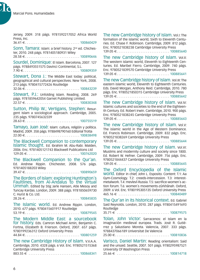b.

Jersey, 2009. 318 págs. 9781592217052 Africa World Press, Inc. 36.41 E . . 100860429 Sonn, Tamara: Islam: a brief history. 2<sup>nd</sup> ed. Chichester, 2010. 248 págs. 9781405180931 Wiley 28.58 E . . 100890646 Sourdel, Dominique: El Islam. Barcelona, 2007. 127 págs. 9788493551575 Davinci Continental, S.L. 7.90 E . . 100809359 Stewart, Dona J.: The Middle East today: political, geographical and cultural perspectives. New York, 2008. 213 págs. 9780415772426 Routledge 32.06 E . . 100843239 Stewart, P.J.: Unfolding Islam. Reading, 2008. 269 págs. 9781859642054 Garnet Publishing Limited. 22.57 E . . 100830348 Sutton, Philip W.; Vertigans, Stephen: Resurgent Islam a sociological approach. Cambridge, 2005. 235 págs. 9780745632339 28.63 E . . 100755519 Tamayo, Juan José: Islam: cultura, religión y política. Madrid, 2009. 358 págs. 9788498790160 Editorial Trotta 22.00 E . . 100838498 The Blackwell Companion to contemporary Islamic thought. Ed. Ibrahim M. Abu-Rabi. Malden, 2006. Enc. 9781405121743 Blackwell Publications Ltd 129.05 E . . 100762020 The Blackwell Companion to the Qur'an. Ed. Andrew Rippin. Chichester, 2008. 576 págs. 9781405188203 Wiley 39.47 E . . 100890659 The Borders of Islam: exploring Huntington´s Faultlines, from Al-Andalus to the virtual Ummah. Edited by Stig Jarle Hansen, Atle Mesoy and Tuncay Kardas. London, 2009. 388 págs. 9781850659730 C. Hurst & Co. Ltd. . . . . . . . . . . . . . . . . 100845835 The Islamic world. Ed. Andrew Rippin. London, 2010. 677 págs. 9780415601917 Routledge 53.19 E . . 100879545 The Modern Middle East: a sourcebook for history. Eds. Camron Michael Amin, Benjamin C. Fortna, Elizabeth B. Frierson. Oxford, 2007. 657 págs. 9780199236312 Oxford University Press 44.84 E . . 100801259 The new Cambridge History of Islam. V.V.A.A. Cambridge, 2010. 4328 págs. 6 Vol. Enc. 9780521515368 Cambridge University Press  $883.55 \in \{1, 2, \ldots, 1, \ldots, 1, \ldots, 1, \ldots, 100868341\}$ The new Cambridge history of Islam. Vol.I: The

formation of the islamic world, Sixth to Eleventh Centuries. Ed. Chase F. Robinson. Cambridge, 2009. 812 págs. Enc. 9780521838238 Cambridge University Press 139.05 E . . 100885640 The new Cambridge history of Islam. Vol.II: The western islamic world, Eleventh to Eighteenth Centuries. Ed. Maribel Fierro. Cambridge, 2009. 740 págs. Enc. 9780521839570 Cambridge University Press 139.05 E . . 100885641 The new Cambridge history of Islam. Vol.III: The eastern islamic world, Eleventh to Eighteenth Centuries. Eds. David Morgan, Anthony Reid. Cambridge, 2010. 780 págs. Enc. 9780521850315 Cambridge University Press  $139.05 \in 100885642$ The new Cambridge history of Islam. vol.IV: Islamic cultures and societies to the end of the Eighteenth Century. Ed. Robert Irwin. Cambridge, 2010. 900 págs. Enc. 9780521838245 Cambridge University Press 139.05 E . . 100885643 The new Cambridge history of Islam. Vol.V: The islamic world in the Age of Western Dominance. Ed. Francis Robinson. Cambridge, 2009. 832 págs. Enc. 9780521838269 Cambridge University Press 139.05 E . . 100885644 The new Cambridge history of Islam. Vol.VI: Muslims and modernity culture and society since 1800. Ed. Robert W. Hefner. Cambridge, 2009. 756 págs. Enc. 9780521844437 Cambridge University Press  $139.05 \in \{100885645\}$ The Oxford Encyclopedia of the Islamic world. Editor in chief, John L. Esposito. Content: T.1: Aa Gym-Cosmology. T.2: creeds-intercession. T.3: interestmetalwork. T.4: mevlevî-Russia. T.5: sacrifice-women´s action forum. T.6: women´s movements-zûrkhânah. Oxford, 2009. 6 Vol. Enc. 9780195305135 Oxford University Press  $465.16 \in \ldots \ldots \ldots \ldots \ldots \ldots \ldots \ldots \ldots \ldots \ldots 100840489$ The Qur'an in its historical context. Ed. Gabriel Said Reynolds. London, 2010. 287 págs. 9780415491693 Routledge 35.71 E . . 100879575 Tolan, John Victor: Sarracenos: el Islam en la imaginación medieval europea. Trads. José R. Gutiérrez y Salustiano Moreta. Valencia, 2007. 333 págs. 9788437066189 Universitat De Valencia 25.00 E . . 100810836 Varisco, Daniel Martin: Reading orientalism: Said and the unsaid. Seattle, 2007. 501 págs. 9780295987521 University Of Washington Press 25.66 E . . 100814718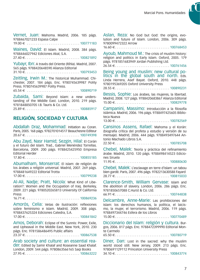Vernet, Juan: Mahoma. Madrid, 2006. 185 págs. 9788467021233 Espasa Calpe

19.00 E . . 100771183

Waines, David: El Islam. Madrid, 2008. 384 págs. 9788446027942 Ediciones Akal, S.A.

27.40 E . . 100821892

Yubayr, Ibn: A través del Oriente (Ríhla). Madrid, 2007. 565 págs. 9788420648590 Alianza Editorial 31.10 E . . 100793453

Zeitling, Irwin M.: The historical Muhammad. Chichester, 2007. 184 págs. Enc. 9780745639987 Polity Press. 9780745639987 Polity Press.

65.54 E . . 100890719

Zubaida, Sami: Beyond Islam: a new understanding of the Middle East. London, 2010. 219 págs. 9781848850705 I.B. Tauris & Co. Ltd. 25.89 E . . 100885917

#### **RELIGIÓN, SOCIEDAD Y CULTURA**

Abdallah Draz, Mohammad: Initiation au Coran. Paris, 2005. 168 págs. 9782701014517 Beauchesne Editeur  $20.67 \in . . . . . . . . . . . . . . . . . . . . . . . 100749398$ 

Abu Zayd, Nasr Hamid; Sezgin, Hilal: El Corán y el futuro del Islam. Trad., Gabriel Menéndez Torrellas. Barcelona, 2009. 200 págs. 9788425425950 Empresa Editorial Herder

 $17.80 \t∈ \t . . . . . . . . . . . . . . . . . . . . . . . 100855185$ 

Abumalham, Monserrat: El islam: de religión de los árabes a religión universal. Madrid, 2007. 269 págs. 9788481649222 Editorial Trotta

 $17.00 \in \ldots \ldots \ldots \ldots \ldots \ldots \ldots \ldots \ldots \ldots 100799238$ 

Al-Ali, Nadje; Pratt, Nicola: What Kind of Liberation?: Women and the Occupation of Iraq. Berkeley, 2009. 221 págs. 9780520265813 University Of California Press

16.71 E . . 100869236

Amorós, Celia: Vetas de ilustración: reflexiones sobre feminismo e Islam. Madrid, 2009. 308 págs. 9788437625324 Ediciones Catedra, S.A.

 $17.00 \in 100841842$ 

Amos, Deborah: Eclipse of the Sunnis: Power, Exile, and Upheaval in the Middle East. New York, 2010. 230 págs. Enc. 9781586486495 Public affairs 23.37 E . . 100867538

Arab society and culture: an essential rea-<br>der. Edited by Samir Khalaf and Roseanne Saad Khalaf. London, 2009. 544 págs. 9780863566165 Saqi Books 27.95 E . . 100863222 Aslan, Reza: No God but God: the origins, evolution and future of Islam. London, 2006. 309 págs. 9780099472322 Arrow

16.60 E . . 100768453

Ayoub, Mahmoud M.: The crisis of muslim history: religion and politics in Early Islam. Oxford, 2005. 179 págs. 9781851683949 Jordan Publishing Ltd.

 $26.54 \in . . . . . . . . . . . . . . . . . . . . . . . 100761456$ 

Being young and muslim: new cultural po-<br>litics in the global south and north. Eds. Linda Herrera, Asef Bayat. Oxford, 2010. 448 págs. 9780195369205 Oxford University Press

28.55 E . . 100890231

Bessis, Sophie: Los árabes, las mujeres, la libertad. Madrid, 2008. 127 págs. 9788420683867 Alianza Editorial 15.00 E . . 100829778

Campanini, Massimo: Introducción a la filosofía islámica. Madrid, 2006. 196 págs. 9788497425605 Biblioteca Nueva

13.00 E . . 100782569

Cansinos Assens, Rafael: Mahoma y el Korán: (biografía crítica del profeta y estudio y versión de su mensaje). Madrid, 2006. 444 págs. 9788493497644 Antonio Machado Libros S.A.

22.50 E . . 100785708

Chebel, Malek: Teoría y práctica del refinamiento árabe. Madrid, 2010. 120 págs. 9788498414523 Ediciones Siruela

11.95 E . . 100880630

Chebel, Malek: L'esclavage en terre d'Islam: un tabou bien gardé. Paris, 2007. 496 págs. 9782213630588 Fayard  $28.77 \in$  100815033

Clarence-Smith, William Gervase: Islam and the abolition of slavery. London, 2006. 286 págs. Enc. 9781850657088 C.Hurst & Co. Ltd.  $66.91 \in \ldots \ldots \ldots \ldots \ldots \ldots \ldots \ldots \ldots \ldots 100744838$ 

Delcambre, Anne-Marie: Las prohibiciones del Islam: los derechos humanos, la política, el laicismo, la mujer, el terrorismo. Madrid, 2006. 119 págs. 9788497344746 Esfera de los Libros

 $15.00 \in 100770489$ 

Diccionario del Islam: religión y cultura. Burgos, 2006. 817 págs. Enc. 9788472399990 Editorial Monte Carmelo 65.50 E . . 100780719

Diner, Dan: Lost in the sacred: why the muslim

world stood still. New Jersey, 2009. 213 págs. Enc. 9780691129112 Princeton University Press 34.10 E . . 100843774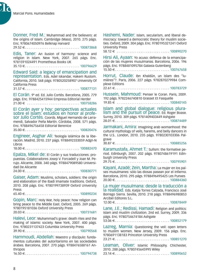Ń

Donner, Fred M.: Muhammad and the believers: at the origins of Islam. Cambridge (Mass), 2010. 275 págs. Enc. 9780674050976 Belknap Harvard

29.52 E . . 100873868

Edis, Taner: An ilusion of harmony: science and religion in Islam. New York, 2007. 265 págs. Enc. 9781591024491 Prometheus Books UK

35.13 E . . 100796629

Edward Said: a legacy of emancipation and representation. Eds. Adel Iskandar, Hakem Rustom. California, 2010. 568 págs. 9780520258907 University Of California Press

31.57 E . . 100877131

El Corán. 9ª ed. Ed. Julio Cortés. Barcelona, 2005. 779 págs. Enc. 9788425415944 Empresa Editorial Herder 21.00 E . . 100758286

El Corán ayer y hoy: perspectivas actuales<br>sobre el Islam: estudios en honor al profesor Julio Cortés. coords. Miguel Hernando de Larramendi, Salvador Peña Martín. Córdoba, 2008. 571 págs. Enc. 9788496756458 Editorial Berenice  $35.00 \in \ldots, \ldots, \ldots, \ldots, \ldots, \ldots, \ldots, 100820476$ 

Engineer, Asghar Ali: Teología islámica de la libe-

ración. Madrid, 2010. 237 págs. 9788492333059 Adgn-N Libros 18.00 E . . 100882470

Epalza, Míkel de: El Corán y sus traducciones: propuestas. Colaboradores Josep V. Forcadell y Joan M. Perujo. Alicante, 2008. 340 págs. 9788479089580 Universidad De Alicante

24.00 E . . 100830771

Gaiser, Adam: Muslims, scholars, soldiers: the origin and elaboration of the Ibadi Imamate traditions. Oxford, 2010. 208 págs. Enc. 9780199738939 Oxford University Press

65.40 E . . 100890234

Gopin, Marc: Holy War, holy peace: how religion can bring peace to the Middle East. Oxford, 2005. 269 págs. 9780195181036 Oxford University Press 20.03 E . . 100731681

Halevi, Leor: Muhammad's grave: death rites and the making of islamic society. New York, 2007. 400 págs. Enc. 9780231137423 Columbia University Press

39.90 E . . 100790568

Hammoudi, Abdellah: Maestro y discípulo: fundamentos culturales del autoritarismo en las sociedades árabes. Barcelona, 2007. 270 págs. 9788476588161 Anthropos 16.50 E . . 100794738 Hashemi, Nader: Islam, secularism, and liberal democracy: toward a democratic theory for muslim societies. Oxford, 2009. 304 págs. Enc. 9780195321241 Oxford University Press

 $58.12 \in \ldots \ldots \ldots \ldots \ldots \ldots \ldots \ldots \ldots \ldots 100890270$ 

Hirsi Ali, Ayaan: Yo acuso: defensa de la emancipación de las mujeres musulmanas. Barcelona, 2006. 196 págs. Enc. 9788481095784 Galaxia Gutenberg

15.50 E . . 100767658

Horrut, Claude: Ibn Khaldûn, un islam des "lumières"?. Paris, 2006. 227 págs. 9782870279984 Complexe Editions

22.61 E . . 100783729

Hussein, Mahmoud: Penser le Coran. Paris, 2009. 192 págs. 9782246740810 Grasset Et Fasquelle 19.85 E . . 100840145

Islam and global dialogue: religious plura- lism and the pursuit of peace. Ed. Roger Boase. Surrey, 2010. 309 págs. 9781409403449 Ashgate 28.01 E . . 100874489

Jarmakani, Amira: Imagining arab womanhood: the cultural mythology of veils, harems, and belly dancers in the U.S.. London, 2010. 235 págs. 9780230103306 Palgrave

30.87 E . . 100885256

Karamustafa, Ahmet T.: Sufism: the formative period. Edinburgh, 2007. 202 págs. 9780748619191 Edinburgh University Press

29.75 E . . 100795901

Kayaní, Azadé; Zein, Martha: La mujer en los países musulmanes: sólo las diosas pasean por el infierno. Barcelona, 2010. 295 págs. 9788496495425 Les Punxes 20.00 E . . 100884360

La mujer musulmana: desde la traducción a la realidad. Eds. Katjia Torres Calzada, Francisco José Borrego Sierra. Sevilla, 2010. 218 págs. 9788496980853 Arcibel Editores S.L.

 $12.00 € \ldots \ldots \ldots \ldots \ldots \ldots \ldots \ldots \ldots \ldots \ldots \ldots 100878449$ 

Lane, J.E.; Redissi, Hamadi: Religion and politics: Islam and muslim civilization. 2nd ed. Surrey, 2009. 336 págs. Enc. 9780754674184 Ashgate  $53.06 \in \dots, \dots, \dots, \dots, \dots, \dots, \dots, 100852179$ 

Lazreg, Marnia: Questioning the veil: open letters to muslim women. New Jersey, 2009. 156 págs. Enc. 9780691138183 Princeton University Press 23.21 E . . 100851270 Leaman, Oliver: Islamic Philosophy. Chichester, 2010. 288 págs. 9780745645995 Wiley

23.14 E . . 100890652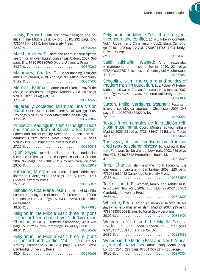Lewis, Bernard: Faith and power: religion and politics in the Middle East. Oxford, 2010. 232 págs. Enc. 9780195144215 Oxford University Press

22.62 E . . 100890244

March, Andrew F.: Islam and liberal citizenship: the search for an overlapping consensus. Oxford, 2009. 360 págs. Enc. 9780195330960 Oxford University Press 54.50 E . . 100890269

Mathewes, Charles T.: Understanding religious ethics. Chichester, 2010. 277 págs. 9781405133524 Wiley  $31.89 \in$  100867406

Mernissi, Fátima: El amor en el Islam: a través del espejo de los textos antiguos. Madrid, 2008. 189 págs. 9788403099371 Aguilar, S.A.

17.50 E . . 100817665

Mujeres y sociedad islámica: una visión plural. Coord. María Isabel Calero Secall. Málaga, 2006. 325 págs. 9788497471299 Universidad de Malaga 17.99 E . . 100772867

Princeton readings in islamist thought: texts and contexts from al-Banna to Bin Laden. Edited and introduced by Roxanne L. Euben and Muhammad Qasim Zaman. New Jersey, 2009. 516 págs. 9780691135885 Princeton University Press 27.25 E . . 100860018

Qutb, Sayyid: Justicia social en el Islam. Traducción y estudio preliminar de José Cepedello Boiso. Córdoba, 2007. 360 págs. Enc. 9788496710849 Almuzara Ediciones  $23.00 \in$  100802819

Ramadan, Tareq: Radical Reform: islamic ethics and liberation. Oxford, 2009. 372 págs. Enc. 9780195331714 Oxford University Press

25.28 E . . 100836071

Rebollo Ávalos, María José: La revista Al-Ma 'Rifa: cultura e ideología en el mundo árabe contemporáneo. Granada, 2007. 270 págs. 9788433839954 Universidad de Granada

18.00 E . . 100799083

Religion in the Middle East: three religions in concord and conflict. Vol.1: Judaism and Christianity. Ed. A.J. Arberry. Cambridge, 2010. 624 págs. 9780521125246 Cambridge University Press 48.04 E . . 100890609

Religion in the Middle East: three religions in concord and conflict. Vol.2: Islam. Ed. A.J. Arberry. Cambridge, 2010. 784 págs. 9780521088954 Cambridge University Press 48.04 E . . 100890608

## Religion in the Middle East: three religions

in concord and conflict. Ed. A.J. Arberry. Contents: Vol.1: Judaism and Christianity – Vol.2: Islam. Cambridge, 2010. 1408 págs. 2 VOL. 9780521176514 Cambridge University Press

 $69.55 \in$  100890611

Saleh Alkhalifa, Waleed: Amor, sexualidad y matrimonio en el Islam. Sevilla, 2010. 231 págs. 9788496327757 Ediciones de Oriente y del Mediterraneo  $17.00 \in .\ldots.\ldots.\ldots.\ldots.\ldots.\ldots.100872052$ 

Schooling Islam: the culture and politics of modern muslim education. Eds. Robert W. Hefner, Muhammad Qasim Zaman. Princeton (New Jersey), 2007. 271 págs. 9780691129334 Princeton University Press 23.03 E . . 100791002

Sutton, Philip; Vertigans, Stephen: Resurgent Islam: a sociological approach. Chichester, 2005. 248 págs. Enc. 9780745632322 Wiley

72.10 E . . 100890658

Textos fundamentales de la tradición reli- giosa musulmana. Coord. Montserrat Abumalham. Madrid, 2005. 231 págs. 9788481647495 Editorial Trotta 14.00 E . . 100754422

The legacy of islamic antisemitism: from sa- cred texts to solemn history. Ed. Andrew G. Bostom; Foreword by Ibn Warraq. New York, 2008. 766 págs. Enc. 9781591025542 Prometheus Books Uk

41.11 E . . 100828428

Tripp, Charles: Islam and the moral economy: the challenge of capitalism. Cambridge, 2006. 225 págs. 9780521682442 Cambridge University Press

 $27.55 \in . . . . . . . . . . . . . . . . . . . . . . . 100781598$ 

Tucker, Judith E.: Women, family, and gender in islamic Law. New York, 2008. 255 págs. 9780521537476 Cambridge University Press

29.56 E . . 100828800

Whitaker, Brian: Amor sin nombre: la vida de los gays y las lesbianas en el Islam. Madrid, 2007. 235 págs. 9788488052506 Egales-Editorial Gay y Lesbiana

 $20.00 \in \ldots \ldots \ldots \ldots \ldots \ldots \ldots \ldots \ldots \ldots 100811400$ 

Women in Islam and the Middle East: a reader. Ed. Ruth Roded. London, 2008. 279 págs. 9781845113858 I.B. Tauris & Co. Ltd.

24.96 E . . 100823488

Women in the Middle East and North Africa: agents of change. Eds. Fatima Sadiqi, Moha Ennaji. London, 2010. 298 págs. 9780415573214 Routledge 39.65 E . . 100890304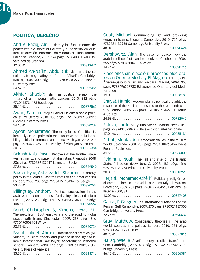

# **POLÍTICA, DERECHO**

Abd Al-Raziq, Ali: El Islam y los fundamentos del poder: estudio sobre el Califato y el gobierno en el Islam. Traducción, introducción y notas de Juan Antonio Pacheco. Granada, 2007. 174 págs. 9788433845603 Universidad de Granada

12.00 E . . 100813471

Ahmed An-Na'im, Abdullahi: Islam and the secular state: negotiating the future of Shari'a. Cambridge (Mass), 2008. 309 págs. Enc. 9780674027763 Harvard University Press

34.62 E . . 100822451

Akhtar, Shabbir: Islam as political religion: the future of an imperial faith. London, 2010. 312 págs. 9780415781473 Routledge

35.11 E . . 100879562

Awan, Samina: Majlis-i-Ahrar-i-Islam: a socio-political study. Oxford, 2010. 350 págs. Enc. 9780199060115 Oxford University Press

 $24.15 \in \ldots \ldots \ldots \ldots \ldots \ldots \ldots \ldots \ldots \ldots 100890237$ 

Ayoob, Mohammed: The many faces of political Islam: religion and politics in the muslim world. Includes bibliographical references and index. Michigan, 2008. 213 págs. 9780472069712 University of Michigan Museum 30.12 E . . 100835384

Bakhsh Rais, Rasul: Recovering the frontier state: war, ethnicity, and state in Afghanistan. Plymouth, 2008. 236 págs. 9780739137017 Lexington Books 27.86 E . . 100849540

Baxter, Kylie; Akbarzadeh, Shahram: US foreign policy in the Middle East: the roots of anti-americanism. London, 2008. 208 págs. 9780415410496 Routledge  $33.77 \in \ldots, \ldots, \ldots, \ldots, \ldots, \ldots, 100890284$ 

Billingsley, Anthony: Political succession in the arab world: Constitutions, family loyalties and Islam. London, 2009. 250 págs. Enc. 9780415495363 Routledge 108.81 E . . 100890567

Bond, Christopher S; Simons, Lewis M.: The next front: Southeast Asia and the road to global peace with Islam. Chichester, 2009. 288 págs. Enc. .<br>9780470503904 Wiley 23.59 E . . 100890724

Bsoul, Labeeb Ahmed: International treaties (Mu 'ahadat) in Islam: theory and practice in the light of islamic international Law (Siyar) according to orthodox schools. Lanham, 2008. 216 págs. 9780761838982 University Press of America 33.32 E . . 100818716

Cook, Michael: Commanding right and forbidding wrong in Islamic thought. Cambridge, 2010. 724 págs. 9780521130936 Cambridge University Press

48.04 E . . 100890624

Dershowitz, Alan: The case for peace: how the arab-israeli conflict can be resolved. Chichester, 2006. 256 págs. 9780470045855 Wiley

14.74 E . . 100890716

Elecciones sin elección: procesos electora- les en Oriente Medio y El Magreb. Eds. Ignacio Álvarez-Ossorio y Luciano Zaccara. Madrid, 2009. 355 págs. 9788496327733 Ediciones de Oriente y del Mediterraneo

 $19.00 \in . . . . . . . . . . . . . . . . . . . . . . . 100858183$ 

Enayat, Hamid: Modern islamic political thought: the response of the Shi i and muslims to the twentieth century. London, 2005. 225 págs. 9781850434665 I.B. Tauris & Co. Ltd.

24.93 E . . 100732042

Esteva, Jordi: Mil y una voces. Madrid, 1998. 313 págs. 9788403593848 El País –Edición Internacional– 17.04 E . . 100435181

Fattah, Moataz A.: Democratic values in the muslim world. Colorado, 2008. 209 págs. 9781588265456 Lynne Rienner Publishers

31.56 E . . 100835000

Feldman, Noah: The fall and rise of the Islamic State. Princeton (New Jersey), 2008. 183 págs. Enc. 9780691120454 Princeton University Press 20.38 E . . 100813928

Ferjani, Mohamed-Chérif: Política y religión en el campo islámico. Traducido por José Miguel Marcén. Barcelona, 2009. 257 págs. 9788472904668 Edicions Bellaterra 2000, S.L.

 $18.00 \in . . . . . . . . . . . . . . . . . . . . . . . 100857403$ 

Gause, F. Gregory: The international relations of the Persian Gulf. Cambridge, 2009. 270 págs. 9780521137300 Cambridge University Press

22.75 E . . 100890639

Gray, Matthew: Conspirancy theories in the arab world: sources and politics. London, 2010, 224 págs. 9780415575195 Falmer

40.98 E . . 100877016

Hallaq, Wael B: Sharî`a: theory, practice, transformations. Cambridge, 2009. 614 págs. 9780521678742 Cambridge University Press

46.16 E . . 100856381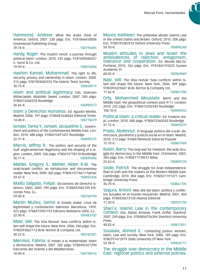Hammond, Andrew: What the arabs think of America. Oxford, 2007. 230 págs. Enc. 9781846450006 Greenwood Publishing Group.

39.76 E . . 100796485

Hardy, Roger: The muslim revolt: a journey through political Islam. London, 2010. 235 págs. 9781849040327 C. Hurst & Co. Ltd.

19.99 E . . 100876004

Hashim Kamali, Mohammad: The right to life, security, privacy and ownership in Islam. London, 2008. 315 págs. 9781903682555 The Islamic Texts Society  $30.75 \in$  100828919

Islam and political legitimacy. Eds. Shahram Akbarzadeh, Abdullah Saeed. London, 2007. 200 págs. 9780415444378 Routledge

 $36.66 \in \dots, \dots, \dots, \dots, \dots, \dots, \dots, 100890573$ 

Islam y Derechos Humanos. Ed. Agustín Motilla. Madrid, 2006. 197 págs. 9788481648683 Editorial Trotta  $14.00 \in . . . . . . . . . . . . . . . . . . . . . . . . 100778479$ 

Ismael, Tareq Y.; Ismael, Jacqueline S.: Government and politics of the Contemporary Middle East. London, 2010. 488 págs. 9780415491457 Routledge 32.31 E . . 100890275

Macris, Jeffrey R.: The politics and security of the Gulf: anglo-american hegemony and the shaping of a region. London, 2009. 336 págs. 9780415778718 Routledge 36.71 E . . 100890306

Mahler, Gregory S.; Mahler, Alden R.W.: The Arab-Israeli conflict: an introduction and documentary reader. New York, 2009. 302 págs. 9780415774611 Falmer 34.47 E . . . . . . . . . . . . . . . . . . . . . . . . . . . . . 100855436

Maíllo Salgado, Felipe: Diccionario de Derecho islámico. Gijón, 2005. 590 págs. Enc. 9788497042109 Ediciones Trea, S.L.

59.00 E . . 100768190

Martín Muñoz, Gema: El Estado árabe: crisis de legitimidad y contestación islamista. Barcelona, 1999. 423 págs. 9788472901193 Edicions Bellaterra 2000, S.L. 22.00 E . . 100483702

Masr, Vali: The Shia Revival: how conflicts within Islam will shape the future. New York, 2006. 286 págs. Enc. 9780393062113 W.W. Norton & Company Ltd. 30.22 E . . 100782301

Mernissi, Fátima: El miedo a la modernidad: Islam y democracia. Madrid, 2007. 285 págs. 9788496327290 Ediciones del Oriente y del Mediterraneo 18.00 E . . 100798416 Moore, Kathleen: The unfamiliar abode: islamic Law in the United States and Britain. Oxford, 2010. 208 págs. Enc. 9780195387810 Oxford University Press

54.50 E . . 100890248

Muslim attitudes to Jews and Israel: the ambivalences of rejection, antagonism, tolerance and cooperation. Ed. Moshe Ma'Oz. Portland, 2010. 326 págs. Enc. 9781845193225 Sussex Academic Pr.

 $68.02 \in \ldots \ldots \ldots \ldots \ldots \ldots \ldots \ldots \ldots \ldots 100869069$ 

Nasr, Vali: The Shia revival: how conflicts within Islam will shape the future. New York, 2006. 309 págs. 9780393329681 W.W. Norton & Company Ltd.

17.66 E . . 100801780

Orfy, Mohammed Moustafa: NATO and the Middle East: the geopolitical context post-9/11. London, 2010. 242 págs. Enc. 9780415592345 Routledge

 $106.10 \in \ldots \ldots \ldots \ldots \ldots \ldots \ldots \ldots \ldots \ldots 100890552$ 

Political Islam: a critical reader. Ed. Frederic Volpi. London, 2010. 488 págs. 9780415560283 Routledge 41.12 E . . 100890279

Prado, Abdennur: El lenguaje político del Corán: democracia, pluralismo y justicia social en el Islam. Madrid, 2010. 213 págs. 9788478844630 Editorial Popular 15.10 E . . 100867968

Rubin, Barry: The long war for freedom: the arab struggle for democracy in the Middle East. Chichester, 2005. 304 págs. Enc. 9780471739012 Wiley 25.63 E . . 100890720

Seale, Patrick: The struggle for Arab Independence: Riad el-Solh and the makers of the Modern Middle East. Cambridge, 2010. 804 págs. Enc. 9780521191371 Cambridge University Press

36.70 E . . 100867705

Segura, Antoni: Más allá del Islam: política y conflictos actuales en el mundo musulmán. Madrid, 2001. 403 págs. 9788420673158 Alianza Editorial

11.20 E . . 100555150

Shari'a: islamic Law in the contemporary context. Eds. Abbas Amanat, Frank Griffel. Stanford, 2007. 249 págs. Enc. 9780804756396 Stanford University Press

48.83 E . . 100817851

Souaiaia, Ahmed E.: Contesting justice: women, Islam, Law and society. New York, 2008. 189 págs. Enc. 9780791473979 State University Of New York

52.98 E . . 100826711

The struggle over democracy in the Middle East: regional politics and external policies.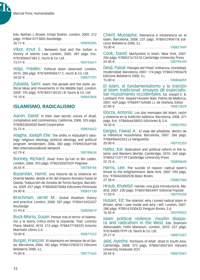

Eds. Nathan J. Brown, Emad Shahin. London, 2009. 212 págs. 9780415773805 Routledge 36.71 E . . 100890305

Vikor, Knut S.: Between God and the Sultan: a history of islamic Law. London, 2005. 387 págs. Enc. 9781850657385 C. Hurst & Co. Ltd.

73.51 E . . 100743621

Volpi, Frédéic: Political Islam observed. London, 2010. 288 págs. 9781849040617 C. Hurst & Co. Ltd. 34.02 E . . 100877701

Zubaida, Sami: Islam, the people and the state: political ideas and movements in the Middle East. London, 2009. 192 págs. 9781845118235 I.B. Tauris & Co. Ltd. 19.10 E . . 100843846

## **ISLAMISMO, RADICALISMO**

Aaron, David: In their own words: voices of Jihad: compilation and commentary. California, 2008. 335 págs. 9780833044020 Rand Corporation

 $25.75 \in .\ldots, \ldots, \ldots, \ldots, \ldots, \ldots, \ldots, 100835652$ 

Alagha, Joseph Elie: The shifts in Hizbullah's ideology: religious ideology, political ideology, and political program. Amsterdam, 2006. 380 págs. 9789053569108 Nbn Internationalbook Network

62.79 E . . 100789634

Bonney, Richard: Jihad: from Qu'ran to Bin Laden. London, 2006. 593 págs. 9780230507029 Palgrave 26.65 E . . 100784766

Bozarslan, Hamit: Una historia de la violencia en Oriente Medio: desde el fin del Imperio Romano hasta Al Qaeda. Traducción de Zoraida de Torres Burgos. Barcelona, 2009. 457 págs. 9788483078686 Ediciones Peninsula 24.00 E . . 100857130

Brachman, Jarret M.: Global Jihadism: theory and practice. London, 2008. 207 págs. 9780415452427 Routledge

 $31.93 \in \ldots \ldots \ldots \ldots \ldots \ldots \ldots \ldots \ldots \ldots 100828819$ 

Buck-Morss, Susan: Pensar tras el terror: el islamismo y la teoría crítica entre la izquierda. Trad. Lorenzo Plana. Madrid, 2010. 212 págs. 9788477748335 Antonio Machado Libros S.A.

10.00 E . . 100871552

Burgat, François: El islamismo en tiempos de al-Qaida. Barcelona, 2006. 182 págs. 9788472903272 Edicions Bellaterra 2000, S.L.  $15.00 \in . . . . . . . . . . . . . . . . . . . . . . . 100777665$  Chérif, Mustapha: Tolerancia e intolerancia en el Islam. Barcelona, 2008. 237 págs. 9788472904118 Edicions Bellaterra 2000, S.L.

 $15.00 \in \ldots, \ldots, \ldots, \ldots, \ldots, \ldots, \ldots, 100821849$ 

Cook, David: Martyrdom in Islam. New York, 2007. 206 págs. 9780521615518 Cambridge University Press  $24.40 \in 100794105$ 

Devji, Faisal: Paisajes del Yihad: militancia, moralidad, modernidad. Barcelona, 2007. 174 págs. 9788472903678 Edicions Bellaterra 2000, S.L.  $15.00 \in .\ldots.\ldots.\ldots.\ldots.\ldots.\ldots.100806059$ 

El Islam, el fundamentalismo y la traición<br>al Islam tradicional: ensavos de especialistas musulmanes occidentales. Ed. Joseph E. B. Lumbard; Prol. Seyyed Hossein Nasr. Palma de Mallorca, 2007. 469 págs. 9788497164580 J.J. de Olañeta, Editor  $22.00 \in \ldots \ldots \ldots \ldots \ldots \ldots \ldots \ldots \ldots 100812878$ 

Elorza, Antonio: Los dos mensajes del Islam: razón y violencia en la tradición islámica. Barcelona, 2008. 371 págs. Enc. 9788466638852 Ediciones B, S.A. 18.50 E . . 100827055

Gerges, Fawaz A.: El viaje del yihadista: dentro de la militancia musulmana. Barcelona, 2007. 286 págs. 9788496642263 La Vanguardia

20.00 E . . 100792353

Hafez, Kai: Radicalism and political reform in the Islamic and Western Worlds. Cambridge, 2010. 260 págs. 9780521137119 Cambridge University Press 22.75 E . . 100890640

Harris, Lee: The suicide of reason: radical Islam's threat to the enlightenment. New York, 2007. 290 págs. Enc. 9780465002030 Basic Books

27.38 E . . 100807585

Hroub, Khalebd: Hamás: una guía introductoria. Madrid, 2007. 230 págs. 9788478843497 Editorial Popular  $11.50 \in \ldots, \ldots, \ldots, \ldots, \ldots, \ldots, \ldots, 100795558$ 

Husain, Ed: The islamist: why I joined radical Islam in Britain, what I saw inside and why I left. London, 2007. 288 págs. 9780141030432 Penguin Books, S.A.

16.50 E . . 100799053

Islam political violence: muslim diaspo- ra and radicalism in the West. Eds. Shahram Akbarzadeh, Fethi Mansouri. London, 2010. 257 págs. 9781848851979 I.B. Tauris & Co. Ltd.

25.21 E . . 100875367

Jalal, Ayesha: Partisans of Allah: Jihad in South Asia. Cambridge, 2008. 373 págs. 9780674047365 Harvard University Graduate SCH 20.44 E . . 100870467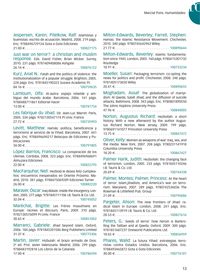Jespersen, Karen; Pitelkow, Ralf: Islamistas y buenistas: escrito de acusación. Madrid, 2008. 219 págs. Enc. 9788496729124 Gota a Gota Ediciones 21.00 E . . 100827175

Just war on terror?: a christian and muslim response. Eds. David Fisher, Brian Wicker. Surrey, 2010. 231 págs. 9781409408086 Ashgate

26.14 E . . 100876122

Kurz, Anat N.: Fatah and the politics of violence: the institutionalization of a popular struggle. Brighton, 2005. 228 págs. Enc. 9781845190323 Sussex Academic Pr. 84.16 E . . 100759635

Lamloum, Olfa: Al-Jazira: espeio rebelde y ambiguo del mundo árabe. Barcelona, 2006. 141 págs. 9788488711861 Editorial Hacer

13.00 E . . 100781754

Les fabrique du Jihad. Dir. Jean-Luc Marret. Paris, 2005. 334 págs. 9782130547174 Pr.Univ. France 27.72 E . . 100735993

Levitt, Matthew: Hamás: política, beneficencia y terrorismo al servicio de la Yihad. Barcelona, 2007. 441 págs. Enc. 9788496694217 Belacqva de Ediciones y Publicaciones

34.00 E . . 100791805

López Barrios, Francisco: La conspiración de los Ulemas. Córdoba, 2008. 323 págs. Enc. 9788496968691 Almuzara Ediciones

22.00 E . . 100822795

MacFarquhar, Neil: Hezbolá le desea feliz cumpleaños: encuentros inesperados en Oriente Próximo. Madrid, 2010. 381 págs. 9788475069289 Ediciones Turner  $26.00 \in \ldots \ldots \ldots \ldots \ldots \ldots \ldots \ldots \ldots \ldots \ldots 100882220$ 

Maraver, Óscar: Iraq Ablaze: inside the insurgency. London, 2005. 277 págs. 9781845111106 I.B. Tauris & Co. Ltd. 32.04 E . . 100745052

Maréchal, Brigitte: Les Frères musulmans en Europe: racines et discours. Paris, 2009. 310 págs. 9782130576099 Pr.Univ. France

30.65 E . . 100851002

Marranci, Gabriele: Jihad beyond islam. Oxford, 2006. 184 págs. 9781845201586 Berg Publishers Limited 31.37 E . . 100775306

Martín, Javier: Hizbulah: el brazo armado de Dios. 2ª ed. Prol. Javier Valenzuela. Madrid, 2006. 299 págs. 9788483192818 Los Libros de la Catarata  $17.00 \in \ldots \ldots \ldots \ldots \ldots \ldots \ldots \ldots \ldots \ldots 100786594$  Milton-Edwards, Beverley; Farrell, Stephen:

Hamas: the Islamic Resistance Movement. Chichester, 2010. 340 págs. 9780745642963 Wiley

21.77 E . . 100890644

Milton-Edwards, Beverley: Islamic fundamentalism since 1945. London, 2005. 160 págs. 9780415301732 Routledge

18.91 E . . 100733234

Moeller, Susan: Packaging terrorism: co-opting the news for politics and profit. Chichester, 2008. 248 págs. 9781405173650 Wiley

20.41 E . . 100890655

Moghadam, Assaf: The globalization of martyrdom: Al Qaeda, Salafi Jihad, and the diffusion of suicide attacks. Baltimore, 2008. 343 págs. Enc. 9780801890550 The Johns Hopkins University Press

47.96 E . . 100840005

Norton, Augustus Richard: Hezbollah: a short history. With a new afterword by the author Augustus Richard Norton. New Jersey, 2009. 199 págs. 9780691141077 Princeton University Press

13.75 E . . 100847472

Oliver, Kelly: Women as weapons of war: Iraq, sex, and the media. New York, 2007. 208 págs. 9780231141918 Columbia University Press

18.20 E . . 100867427

Palmer Harik, Judith: Hezbollah: the changing face of terrorism. London, 2005. 233 págs. 9781845110246 I.B. Tauris & Co. Ltd.

20.69 E . . 100744338

Palmer, Montes; Palmer, Princess: At the heart of terror: Islam,jihadists, and America's war on terrorism. Maryland, 2007. 289 págs. 9780742536036 The Rowman & Littlefield Pub. Group

21.09 E . . 100796886

Pargeter, Alison: The new frontiers of Jihad: radical Islam in Europe. London, 2008. 241 págs. Enc. 9781845113919 I.B. Tauris & Co. Ltd.

28.53 E . . 100827616

Peters, G.: Seeds of terror: how heroin is Bankrolling the Taliban and al Qaeda. Oxford, 2009. 300 págs. 9781851687237 Oneworld Publications Ltd.

18.65 E . . 100856959

Phares, Walid: La futura Yihad: estrategias terroristas contra Estados Unidos. Barcelona, 2006. Enc. 9788493465872 Gota a Gota Ediciones 30.00 E . . 100776101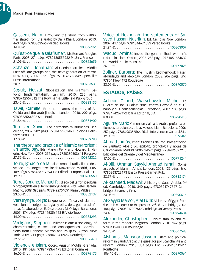Ŋ.

Qassem, Naim: Hizbullah: the story from within. Translated from the arabic by Dalia Khalil. London, 2010. 463 págs. 9780863566998 Saqi Books 14.83 E . . 100866161 Qu'est-ce que le salafisme?. Dir. Bernard Rougier. Paris, 2008. 271 págs. 9782130557982 Pr.Univ. France 21.09 E . . 100823659 Schanzer, Jonathan: Al-Qaeda's armies: Middle East affiliate groups and the next generation of terror. New York, 2005. 222 págs. 9781561718849 Specialist Press International  $20.91 \in \ldots \ldots \ldots \ldots \ldots \ldots \ldots \ldots \ldots \ldots \ldots 100733531$ Soguk, Nevzat: Globalization and islamism: beyond fundamentalism. Lanham, 2010. 235 págs. 9780742557512 The Rowman & Littlefield Pub. Group  $23.45 \in . . . . . . . . . . . . . . . . . . . . . . 100883135$ Tawil, Camille: Brothers in arms: the story of Al-Qa'ida and the arab jihadists. London, 2010. 209 págs. 9780863564802 Saqi Books 21.86 E . . 100881909 Ternisien, Xavier: Los hermanos musulmanes. Barcelona, 2007. 202 págs. 9788472903463 Edicions Bellaterra 2000, S.L.  $17.00 \in \ldots \ldots \ldots \ldots \ldots \ldots \ldots \ldots \ldots \ldots \ldots 100789780$ The theory and practice of islamic terrorism: an anthology. Eds. Marvin Perry and Howard E. Negrin. New York, 2008. 255 págs. 9780230608641 Palgrave  $27.55 \in . . . . . . . . . . . . . . . . . . . . . . . 100842322$ Torre, Ignacio de la: Islamismo: el radicalismo desvelado. Prol. Jorge Dezcallar de Mazarredo. Madrid, 2005. 189 págs. 9788488717894 Lid Editorial Empresarial, S.L.  $19.90 \in 100760560$ Torres Soriano, Manuel R.: El eco del terror: ideología y propaganda en el terrorismo yihadista. Prol. Peter Bergen. Madrid, 2009. 390 págs. 9788492751051 Plaza y Valdes 23.50 E . . 100852137 Verstrynge, Jorge: La guerra periférica y el Islam revolucionario: orígenes, reglas y ética de la guerra asimétrica. Colaboradores E. Díez poza y M. Ortega. Barcelona, 2005. 174 págs. 9788496356153 El Viejo Topo  $14.00 \in \ldots, \ldots, \ldots, \ldots, \ldots, \ldots, \ldots, 100734293$ Vertigans, Stephen: Militant Islam: a sociology of characteristics, causes and consequences. Contributions from Donncha Marron and Philip W. Sutton. New York, 2009. 211 págs. 9780415412469 Routledge 32.51 E . . 100836473 Violencia e Islam. Coord. Agustín Motilla. Granada, 2010. 181 págs. 9788498367195 Editorial Comares 16.00 E . . 100876175

Voice of Hezbollah: the statements of Sa- yyed Hassan Nasrllah. Ed. Nicholas Noe. London, 2007. 417 págs. 9781844671533 Verso Books

21.84 E . . 100803907

Wadud, Amina: Inside the gender Jihad: women's reform in Islam. Oxford, 2006. 283 págs. 9781851684632 Oneworld Publications Ltd.

 $26.11 \in \ldots \ldots \ldots \ldots \ldots \ldots \ldots \ldots \ldots \ldots \ldots 100777028$ 

Zollner, Barbara: The muslim brotherhood: Hasan al-Hudaybi and ideology. London, 2008. 206 págs. Enc. 9780415664172 Routledge

33.05 E . . 100890570

#### **ESTADOS, PAÍSES**

Achcar, Gilbert; Warschawski, Michel: La Guerra de los 33 días: Israel contra Hezbolá en el Líbano y sus consecuencias. Barcelona, 2007. 108 págs. 9788474269192 Icaria Editorial, S.A.

8.00 E . . 100790440

Aguirre, Mark: Yemen: un viaje a la Arabia profunda en tiempos turbulentos: tribus, velos e Islam. Barcelona, 2006. 252 págs. 9788496356566 Ed.de Intervencion Cultural,S.L. 19.00 E . . 10076348

Ahmad Jamás, Imán: Crónicas de Iraq. Presentación de Santiago Alba ; Ed. epílogo, cronología y notas de Carlos Varea. Madrid, 2006. 34521 págs. 9788496327245 Ediciones del Oriente y del Mediterraneo

17.00 E . . 100771244

Al-Bili, Uthman Sayyid Ahmad Ismail: Some aspects of Islam in Africa. London, 2008. 135 págs. Enc. 9780863723193 Ithaca Press/Garnet Pub.

 $38.57 \in 100818174$ 

Al-Rasheed, Madawi: A history of Saudi Arabia. 2<sup>nd</sup> ed. Cambridge, 2010. 340 págs. 9780521747547 Cambridge University Press

24.05 E . . 100890616

Al-Sayyid Marsot, Afaf Lutfi: A history of Egypt: from the arab conquest to the present. 2<sup>nd</sup> ed. Cambridge, 2007. 184 págs. 9780521700764 Cambridge University Press  $24.45 \in 100794634$ 

Alexander, Christopher: Tunisia: stability and reform in the modern Maghreb. London, 2010. 142 págs. 9780415483308 Routledge

34.20 E . . 100867588

Alshamsi, Mansoor Jassem: Islam and political reform in Saudi Arabia: the quest for political change and reform. London, 2010. 304 págs. Enc. 9780415412414 Routledge  $106.10 \in$ ...................................100890561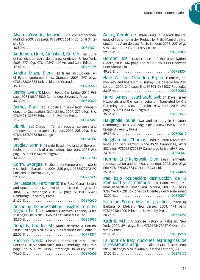Álvarez-Ossorio, Ignacio: Siria contemporánea. Madrid, 2009. 223 págs. 9788497566414 Editorial Sintesis, S.A

 $18.50 \in . . . . . . . . . . . . . . . . . . . . . . 100849071$ 

Anderson, Liam; Stansfield, Gareth: The future of Iraq: dictatoriaship, democracy or division?. New York, 2005. 277 págs. 9781403971449 Armand Colin Editeur 17.69 E . . 100762195

Arigita Maza, Elena: El Islam institucional en el Egipto contemporáneo. Granada, 2005. 297 págs. 9788433836885 Universidad de Granada

 $15.00 \in 100770540$ 

Baring, Evelyn: Modern Egypt. Cambridge, 2010. 968 págs. 9781108025539 Cambridge University Press  $48.30 \in \{100890629\}$ 

Barnes, Paul: Iraq: a political history from independence to Occupation. Oxfordshire, 2009. 377 págs. Enc. 9780691139579 Princeton University Press

31.70 E . . 100847461

Blumi, Isa: Chaos in Yemen: societal collapse and the new authoritarianism. London, 2010. 208 págs. Enc. 9780415780773 Routledge

 $106.10 \in \ldots, \ldots, \ldots, \ldots, \ldots, \ldots, \ldots, 100890307$ 

Bradley, John R.: Inside Egypt: the land of the pharaohs on the brink of a revolution. New York, 2008. 246 págs. 9780230614376 Palgrave

14.33 E . . 100856700

Corm, Georges: El Líbano contemporáneo: historia y sociedad. Barcelona, 2006. 385 págs. 9788472903197 Edicions Bellaterra 2000, S.L.

 $22.00 \in \ldots, \ldots, \ldots, \ldots, \ldots, \ldots, \ldots, 100772495$ 

De Lesseps, Ferdinand: The Suez Canal: letters and documents descriptive of its rise and progress in 1854-1856. Cambridge, 2011. 326 págs. 9781108026420 Cambridge University Press

21.55 E . . 100890630

Decoding the new Taliban: insights from the Afghan field. Ed. Antonio Giustozzi. London, 2009. 318 págs. Enc. 9781850659617 C.Hurst & Co. Ltd. 38.50 E . . 100855983 Doughty, Charles M.: Arabia desierta. A Coruña,

2006. 370 págs. 9788493477837 Ediciones del Viento  $22.00 \in \ldots \ldots \ldots \ldots \ldots \ldots \ldots \ldots \ldots \ldots 100773351$ 

Fuccaro, Nelida: Histories of city and State in the Persian Gulf: Manama since 1800. Cambridge, 2009. 276 págs. Enc. 9780521514354 Cambridge University Press 74.60 E . . 100890603

Gaury, Gerald de: Three kings in Bagdad: the tragedy of Iraq's monarchy. Preface by Philip Mansel ; Introduction by Alan de Lacy Rush. London, 2008. 227 págs. 9781845115357 I.B. Tauris & Co. Ltd.

22.71 E . . 100822829

Gordon, Joel: Nasser: hero of the arab Nation. Oxford, 2006. 146 págs. Enc. 9781851684113 Oneworld Publications Ltd.

49.62 E . . 100784304

Hale, William; Ozbudun, Ergun: Islamism, democracy and liberalism in Turkey: the case of the AKP. London, 2009. 240 págs. Enc. 9780415665087 Routledge 33.05 E . . 100890569

Harel, Amos; Issacharoff, Avi: 34 Days: Israel, Hezbollah, and the war in Lebanon. Translated by Ora Cummings and Moshe Tlamim. New York, 2008. 288 págs. 9780230614369 Palgrave

15.54 E . . 100851578

Haugbolle, Sune: War and memory in Lebanon. Cambridge, 2010. 278 págs. Enc. 9780521199025 Cambridge University Press

69.55 E . . 100890619

Hegghammer, Thomas: Jihad in Saudi Arabia: violence and pan-islamism since 1979. Cambridge, 2010. 302 págs. 9780521732369 Cambridge University Press 24.05 E . . 100890641

Herring, Eric; Rangwala, Glen: Iraq in fragments: the occupation and its legacy. London, 2006. 346 págs. Enc. 9781850657774 C. Hurst & Co. Ltd. 35.34 E . . 100744822

Iraq bajo ocupación: destrucción de la identidad y la memoria. Eds. Carlos Varea, Paloma Valverde y Esther Sanz. Madrid, 2009. 299 págs. 9788496327528 Ediciones de Oriente y del Mediterraneo 18.00 E . . 100840571

Islam in South Asia: in practice. Edited by Barbara D. Metcalf. New Jersey, 2009. 474 págs. 9780691044200 Princeton University Press 28.26 E . . 100851286

Kazimi, M.R.: A concise history of Pakistan. New York, 2009. 391 págs. Enc. 9780195475067 Oxford University Press

 $21.85 \in . . . . . . . . . . . . . . . . . . . . . . . . 100819297$ 

La hora de Iraq: opciones estratégicas de la resistencia iraquí. Ed. Jáled al Maani. Barcelona, 2010. 189 págs. 9788498882407 Icaria Editorial, S.A. 17.00 E . . 100875170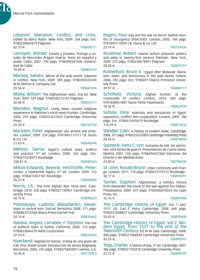Ŋ.

Lebanon: liberation, conflict, and crisis. Edited by Barry Rubin. New York, 2009. 244 págs. Enc. 9780230605879 Palgrave 82.73 E . . 100858711 Lemsyeh, Ahmed: Estado y Estados. Prólogo y estudio de Mercedes Aragón Huerta. Texto en español y árabe. Cádiz, 2007. 199 págs. 9788498281408 Universidad de Cádiz  $10.00 \in . . . . . . . . . . . . . . . . . . . . . . 100805314$ Mackey, Sandra: Mirror of the arab world: Lebanon in conflict. New York, 2009. 309 págs. 9780393333749 W.W. Norton & Company Ltd. 20.56 E . . 100847496 Maley, William: The Afghanistan wars. 2nd ed. New York, 2009. 329 págs. 9780230213142 Palgrave 26.48 E . . 100855411 Marsden, Magnus: Living Islam: muslim religious experience in Pakistan's north-west frontier. Cambridge, 2005. 297 págs. 9780521617659 Cambridge University Press  $29.20 \in \dots, \dots, \dots, \dots, \dots, \dots, \dots, 100762754$ Marsden, Peter: Afghanistan: aid, armies and empires. London, 2009. 234 págs. 9781845117511 I.B. Tauris & Co. Ltd. 21.63 E . . 100848398 Mehrez, Samia: Egypt's culture wars: politics and practice. 3rd ed. London, 2008. 352 págs. Enc. 9780415428972 Routledge 108.81 4 . . 100890563 Milton-Edwards, Beverle; Hinchcliffe, Peter: Jordan: a Hashemite legacy. 2<sup>nd</sup> ed. London, 2009. 152 págs. 9780415457187 Routledge 35.25 E . . 100890300 Norris, J.A.: The First Afghan War 1838-1842. Cambridge, 2010. 520 págs. 9780521130967 Cambridge University Press  $34.15 \in \ldots \ldots \ldots \ldots \ldots \ldots \ldots \ldots \ldots \ldots \ldots 100890623$ Polonskaya, Ludmila; Malashenko, Alexei: Islam in central Asia. 2nd ed. Berkshire, 2008. 171 págs. 9780863723360 Ithaca Press/Garnet Pub.  $24.14 \in$  100835662 Rabasa, Angela; Larrabee, F. Stephen: The rise of political Islam in Turkey. California, 2008. 113 págs. 9780833044570 Rand Corporation 22.53 E . . 100835654 Riverbend: Bagdad en llamas: el blog de una joven de Irak. Prol. Ahdaf Soueif; Introducción de James Ridgeway. Barcelona, 2006. 335 págs. 9788475845807 Laertes, S.A. 16.50 E . . 100772953

Rogers, Paul: Iraq and the war on terror: twelve months of insurgency 2004/2005. London, 2005. 184 págs. 9781845112059 LB Tauris & Co. Ltd. 23.14 E . . 100754435 Rozehnal, Robert: Islamic sufism unbound: politics and piety in twenty-first century Pakistan. New York, 2009. 275 págs. 9780230618961 Palgrave 28.48 E . . 100859197

Rutherford, Bruce K.: Egypt after Mubarak: liberalism, Islam, and democracy in the arab world. Oxford, 2008. 292 págs. Enc. 9780691136653 Princeton University Press

39.97 E . . 100840111

Schofield, Victoria: Afghan frontier: at the crossroads of conflict. London, 2010. 389 págs. 9781848851887 Tauris Parke Paperbacks 18.56 E . . 100863939

Sehata, Dina: Islamists and secularists in Egypt:

opposition, conflict and cooperation. London, 2009. 180 págs. Enc. 9780415495479 Routledge

114.29 E . . 100872535

Shindler, Colin: A history of modern Israel. Cambridge, 2008. 371 págs. 9780521615389 Cambridge University Press 24.45 E . . 100818404

Sponeck, Hans C. von: Autopsia de Irak: las sanciones: otra forma de guerra. Presentación de Carlos Varea. Madrid, 2007. 550 págs. 9788496327368 Ediciones del Oriente y del Mediterraneo

23.00 E . . 100798435

St. John, Ronald Bruce: Libya: continuity and change. London, 2011. 178 págs. 9780415779777 Routledge 38.17 E . . 100890291

Tanner, Staphen: Afghanistan: a military history from Alexander the Great to the war against the Taliban. Philadelphia, 2009. 375 págs. 9780306818264 Da Capo Press, Inc.

16.16 E . . 100849398

The Cambridge History of Egypt. Vol. 1: 640- 1517. Ed. Carl F. Petry. Cambridge, 2008. 668 págs. 9780521068857 Cambridge University Press 55.65 E . . 100890600

The Cambridge History of Egypt. Vol.2: Mo- dern Egypt, from 1527 to the end of the Twentieth Century. Ed. M.W. Daly. Cambridge, 2008. 480 págs. 9780521068840 Cambridge University Press  $45.55 \in$  100890597

Tripp, Charles: A history of Iraq. 3rd ed. Cambridge, 2007. 386 págs. 9780521702478 Cambridge University Press 22.75 E . . 100890595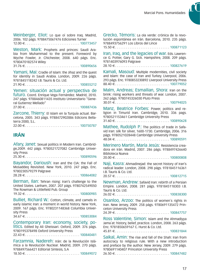Weinberger, Eliot: Lo que oí sobre Iraq. Madrid, 2006. 102 págs. 9788475067476 Ediciones Turner  $12.00 \in 100773457$ 

Weston, Mark: Prophets and princes: Saudi Arabia from Muhammad to the present. Foreword by Wyche Fowler, Jr. Chichester, 2008. 640 págs. Enc. 9780470182574 Wiley

31.76 E . . 100890656

Yamani, Mai: Cradle of Islam: the Jihaz and the quest for identity in Saudi Arabia. London, 2009. 226 págs. 9781845118242 I.B. Tauris & Co. Ltd.

21.90 E . . 100855212

Yemen: situación actual y perspectiva de futuro. Coord. Enrique Vega Fernández. Madrid, 2010. 247 págs. 9788460811435 Instituto Universitario "General Gutierrez Mellado"

 $27.00 \in . . . . . . . . . . . . . . . . . . . . . . . 100887436$ 

Zarcone, Thierry: El Islam en la Turquía actual. Barcelona, 2005. 343 págs. 9788472902886 Edicions Bellaterra 2000, S.L. 22.00 E . . 100750787

#### **IRÁN**

Afary, Janet: Sexual politics in Modern Iran. Cambridge,2009. 442 págs. 9780521727082 Cambridge University Press

25.30 E . . 100890596

Bayandor, Darioush: Iran and the CIA: the Fall of Mosaddeq Revisited. New York, 2010. 247 págs. Enc. 9780230579279 Palgrave 28.28 E . . 100864082

Berman, Ilan: Tehran rising: Iran's challenge to the United States. Lanham, 2007. 207 págs. 9780742549050 The Rowman & Littlefield Pub. Group

19.32 E . . 100800985

Bulliet, Richard W.: Cotton, climate, and camels in early islamic Iran: a moment in world history. New York, 2009. 167 págs. Enc. 9780231148368 Columbia University Press

 $34.67 \in \dots, \dots, \dots, \dots, \dots, \dots, \dots, 100853084$ 

Contemporary Iran: economy, society, po- litics. Edited by Ali Gheissari. Oxford, 2009. 376 págs. 9780195378498 Oxford University Press 22.43 E . . 100840481

Farzamnia, Nadereh: Irán: de la Revolución Islámica a la Revolución Nuclear. Madrid, 2009. 270 págs. 9788497566421 Editorial Sintesis, S.A 18.50 E . . 100849072 Grecko, Témoris: La ola verde: crónica de la revolución espontánea en Irán. Barcelona, 2010. 235 págs. 9788493756291 Los Libros del Lince

15.50 E . . 100871123

Iran, Iraq, and the legacies of war. Eds. Lawrence G. Potter, Gary G. Sick. Hampshire, 2008. 209 págs. 9781403976093 Palgrave

 $28.10 \in . . . . . . . . . . . . . . . . . . . . . . . 100827619$ 

Kamali, Masoud: Multiple modernities, civil society and Islam: the case of Iran and Turkey. Liverpool, 2006. 293 págs. Enc. 9780853230892 Liverpool University Press 88.40 E . . 100779052

Malm, Andreas; Esmailian, Shora: Iran on the brink: rising workers and threats of war. London, 2007. 262 págs. 9780745326030 Pluto Press 30.01 E . . 100794025

Manz, Beatrice Forbes: Power, politics and religion in Timurid Iran. Cambridge, 2010. 336 pags. 9780521153461 Cambridge University Press

31.60 E . . 100890628

Mathee, Rudolph P.: The politics of trade in Safavid Iran: silk for silver, 1600-1730. Cambridge, 2006. 316 págs. 9780521028448 Cambridge University Press 48.04 E . . 100890591

Merinero Martín, María Jesús: Resistencia creadora en Irán. Madrid, 2007. 286 págs. 9788497426640 Biblioteca Nueva

 $20.00 \in \ldots, \ldots, \ldots, \ldots, \ldots, \ldots, \ldots, 100800808$ 

Naji, Kasra: Ahmadinejad: the secret history of Iran's radical leader. London, 2008. 298 págs. 9781845116361 I.B. Tauris & Co. Ltd.<br>20 57 €

20.57 E . . 100812715

Newman, Andrew: Safavid Iran: rebirth of a Persian Empire. London, 2008. 281 págs. 9781845118303 I.B. Tauris & Co. Ltd. 26.02 E . . 100838300

Osanloo, Arzoo: The politics of women´s rights in Iran. New Jersey, 2009. 258 págs. 9780691135472 Princeton University Press

24.39 E . . 100847757

Ross Valentine, Simon: Islam and the Ahmadiyya Jama´at: history, belief, practice. London, 2008. 263 págs. Enc. 9781850659167 C. Hurst & Co. Ltd.

 $45.81 \in \dots, \dots, \dots, \dots, \dots, \dots, \dots, 100831844$ 

Saikal, Amin: The rise and fall of the Shah: Iran from autocracy to religious rule. With a new introduction and preface by the author. New Jersey, 2009. 279 págs. 9780691140407 Princeton University Press  $26.50 \in . . . . . . . . . . . . . . . . . . . . . . . 100847482$ 

17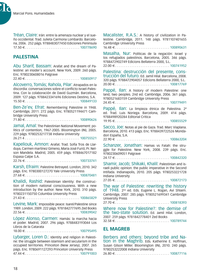Ŋ.

Tréan, Claire: Irán: entre la amenaza nuclear y el sueño occidental. Trad. Julieta Carmona Lombardo. Barcelona, 2006. 252 págs. 9788483077450 Ediciones Peninsula 17.50 E . . 100778690

# **PALESTINA**

Abu Sharif, Bassam: Arafat and the dream of Palestine: an insider´s account. New York, 2009. 260 págs. Enc. 9780230608016 Palgrave 22.40 E . . 100850917

Alcoverro, Tomás; Rahola, Pilar: Atrapados en la discordia: conversaciones sobre el conflicto Israel-Palestina. Con la colaboración de David Guzmán. Barcelona, 2009. 127 págs. 9788423341696 Ediciones Destino, S.A.  $15.50 \in . . . . . . . . . . . . . . . . . . . . . . . 100849133$ 

Ben-Ze'ev, Efrat: Remembering Palestine in 1948. Cambridge, 2011. 272 págs. Enc. 9780521194471 Cambridge University Press

71.80 E . . 100890626

Jamal, Amal: The Palestinian National Movement: politics of contention, 1967-2005. Bloomington (IN), 2005. 229 págs. 9780253217738 Indiana University 26.21 4 . . 100755521

Kapeliouk, Amnon: Arafat. Trad. Sofía Tros de Llarduya, Carmen martínez Gimeno, Maria José Furió; Pr. Nelson Mandela. Madrid, 2005. 459 págs. 9788467017182 Espasa Calpe S.A.

 $22.76 \in 100733741$ 

Karsh, Efraim: Palestine Betrayed. London, 2010. 342 págs. Enc. 9780300127270 Yale University Press 27.68 E . . 100870481

Khalidi, Rashid: Palestinian identity: the construction of modern national consciousness. With a new introduction by the author. New York, 2010. 310 págs. 9780231150750 Columbia University Press 21.43 E . . 100865829

Levine, Mark: Impossible peace: Isarel/Palestine since 1989. London, 2009. 222 págs. 9781842777695 Zed Books  $22.56 \in . . . . . . . . . . . . . . . . . . . . . . . 100839042$ 

López Alonso, Carmen: Hamás: la marcha hacia el poder. Madrid, 2007. 296 págs. 9788483193044 Los Libros de la Catarata

18.00 E . . 100795495

Lybarger, Loren D.: Identity and religion in Palestine: the struggle between islamism and secularism in the occupied territories. Princeton (New Jersey), 2007. 265 págs. Enc. 9780691127293 Princeton University Press 47.44 E . . 100791003 Macalister, R.A.S.: A history of civilization in Palestine. Cambridge, 2011. 148 págs. 9781107401655 Cambridge University Press

16.48 E . . 100890631

Masalha, Nur: Políticas de la negación: Israel y los refugiados palestinos. Barcelona, 2005. 346 págs. 9788472902749 Edicions Bellaterra 2000, S.L.

 $22.00 \in . . . . . . . . . . . . . . . . . . . . . . . 100741952$ 

Palestina: destrucción del presente, cons- trucción del futuro. Ed. Jamil Hilal. Barcelona, 2008. 320 págs. 9788472904057 Edicions Bellaterra 2000, S.L.  $20.00 \in \ldots \ldots \ldots \ldots \ldots \ldots \ldots \ldots \ldots \ldots 100817769$ 

Pappé, Ilan: A history of modern Palestine: one land, two peoples. 2nd ed. Cambridge, 2006. 361 págs. 9780521683159 Cambridge University Press

24.45 E . . 100779491

Pappé, Ilan: La limpieza étnica de Palestina. 2ª ed. Trad. Luis Noriega. Barcelona, 2009. 414 págs. 9788498920284 Editorial Critica 19.95 E . . 100855529

Sacco, Joe: Notas al pie de Gaza. Trad. Marc Viaplana. Barcelona, 2010. 413 págs. Enc. 9788439722526 Mondadori España, S.A.

22.90 E . . 100863204

Schanzer, Jonathan: Hamas vs Fatah: the struggle for Palestine. New York, 2008. 239 págs. Enc. 9780230609051 Palgrave

24.17 E . . 100842320

Shamir, Jacob; Shikaki, Khalil: Palestinian and israeli public opinion: the public imperative in the Second Intifada. Indianapolis, 2010. 205 págs. 9780253221728 Indiana University  $27.05 \in . . . . . . . . . . . . . . . . . . . . . . . . 100872173$ 

The war of Palestine: rewriting the history Of 1948. 2<sup>nd</sup> ed. Eds. Eugene L. Rogan, Avi Shlaim. Cambridge, 2007. 285 págs. 9780521699341 Cambridge University Press

27.70 E . . 100818393

Where now for Palestine?: the demise of the two-state solution. Ed. Jamil Hilal. London, 2007. 259 págs. 9781842778401 Zed Books 32.58 E . . 100789744

#### **EL MAGREB**

Berbers and others: beyond tribe and Na- tion in the Maghrib. Eds. Katherine E. Hoffman, Susan Gilson Miller. Bloomington (IN), 2010. 240 págs. 9780253222008 Indiana University  $26.80 \in . . . . . . . . . . . . . . . . . . . . . . . . 100877116$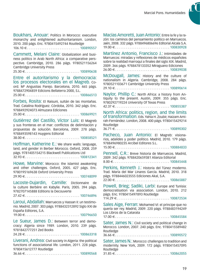Boukhars, Anouar: Politics in Morocco: executive monarchy and enlightened authoritarianism. London, 2010. 200 págs. Enc. 9780415492744 Routledge  $106.10 \in \ldots, \ldots, \ldots, \ldots, \ldots, \ldots, \ldots, 100890557$ 

Cammett, Melani Claire: Globalization and business politics in Arab North Africa: a comparative perspective. Cambridge, 2010. 286 págs. 9780521156264 Cambridge University Press

25.30 E . . 100890638

Entre el autoritarismo y la democracia: los procesos electorales en el Magreb. Coord. Mª Angustias Parejo. Barcelona, 2010. 465 págs. 9788472904859 Edicions Bellaterra 2000, S.L. 25.00 E . . 100866513

Forbes, Rosita: El Raisuni, sultán de las montañas. Trad. Catalina Rodríguez. Córdoba, 2010. 342 págs. Enc. 9788492924073 Almuzara Ediciones

25.00 E . . 100869921

Gutiérrez del Castillo, Víctor Luis: El Magreb y sus fronteras en el mar: conflictos de delimitación y propuestas de solución. Barcelona, 2009. 278 págs. 9788493598143 Huygens Editorial 38.00 E . . 100858521

Hoffman, Katherine E.: We share walls: language, land, and gender in Berber Morocco. Oxford, 2008. 259 págs. 9781405154215 Blackwell Publications Ltd 32.93 E . . 100812341

Howe, Marvine: Morocco: the islamist awakening and other challenges. Oxford, 2005. 427 págs. Enc. 9780195169638 Oxford University Press  $29.90 \in \ldots, \ldots, \ldots, \ldots, \ldots, \ldots, \ldots, 100748099$ 

Lacoste-Dujardin, Camille: Dictionnaire de la culture Berbère en Kabylie. Paris, 2005. 394 págs. 9782707145888 Editions la Decouverte

27.42 E . . 100746896

Laroui, Abdallah: Marruecos y Hassan II: un testimonio. Madrid, 2007. 303 págs. 9788432312892 Siglo XXI de España Editores, S.A. 19.00 E . . 100796650

Le Sueur, James D.: Between terror and democracy: Algeria since 1989. London, 2010. 239 págs. 9781842777251 Zed Books 24.28 E . . 100863318

Liverani, Andrea: Civil society in Algeria: the political functions of associational life. London, 2011. 228 págs. 9780415612777 Routledge 36.66 E . . 100890568 Macías Amoretti, Juan Antonio: Entre la fe y la razón: los caminos del pensamiento político en Marruecos. Jaén, 2008. 332 págs. 9788496806696 Editorial Alcala S.A.  $19.00 \in \ldots, \ldots, \ldots, \ldots, \ldots, \ldots, \ldots, 100830928$ 

Martínez Antonio, Francisco J.: Intimidades de Marruecos: miradas y reflexiones de médicos españoles sobre la realidad marroquí a finales del siglo XIX. Madrid, 2009. 366 págs. 9788478133352 Miraguano Ediciones  $26.00 \in \ldots, \ldots, \ldots, \ldots, \ldots, \ldots, \ldots, 100839038$ 

McDougall, James: History and the culture of nationalism in Algeria. Cambridge, 2008. 284 págs. 9780521103671 Cambridge University Press 29.10 E . . 100890614

Naylor, Phillip C.: North Africa: a history from Antiquity to the present. Austin, 2009. 355 págs. Enc. 9780292719224 University Of Texas Press

 $42.37 \in .\ldots, .\ldots, .\ldots, .\ldots, .\ldots, .\ldots, .\ 100855387$ 

North Africa: politics, region, and the limits of transformation. Eds. Yahia H. Zoubir, Haizam Amirah-Fernández. London, 2008. 400 págs. 9780415429214 Routledge

36.71 E . . 100890302

Pacheco, Juan Antonio: El Magreb: visionarios, adalides y poder político. Madrid, 2010. 179 págs. 9788496980235 Arcibel Editores S.L.  $15.00 \in \ldots \ldots \ldots \ldots \ldots \ldots \ldots \ldots \ldots \ldots 100884833$ 

Pennell, C.R.: Breve historia de Marruecos. Madrid, 2009. 342 págs. 9788420659381 Alianza Editorial 8.00 E . . 100845448

Perkins, Kenneth J.: Historia del Túnez moderno. Trad. María del Mar Linares García. Madrid, 2010. 318 págs. 9788446023555 Ediciones Akal, S.A.

22.00 E . . 100865887

Powell, Brieg; Sadiki, Larbi: Europe and Tunisia: democratisation via association. London, 2010. 212 págs. Enc. 9780415497893 Routledge

114.29 E . . 100872534

Sales Aige, Ferran: Mohamed VI: el príncipe que no quería ser rey. Madrid, 2009. 220 págs. 9788483194249 Los Libros de la Catarata

 $17.00 \in . . . . . . . . . . . . . . . . . . . . . . . 100845584$ 

Sater, James N.: Civil society and political change in Morocco. London, 2007. 240 págs. Enc. 9780415589482 Routledge

36.66 E . . 100890572

Sater, James N.: Morocco: challenges to tradition and modernity. New York, 2009. 172 págs. 9780415457095 Routledge 31.85 E . . 100862055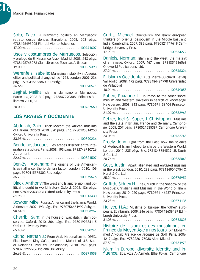b.

Soto, Paco: El islamismo político en Marruecos: retrato desde dentro. Barcelona, 2005. 203 págs. 9788496495005 Flor del Viento Ediciones

 $17.00 \in 100741607$ 

Usos y costumbres de Marruecos. Selección y prólogo de El Hassance Arabi. Madrid, 2008. 248 págs. 9788496745278 Clan Libros de Tecnicas Artisticas  $19.00 \in \ldots \ldots \ldots \ldots \ldots \ldots \ldots \ldots \ldots \ldots 100839393$ 

Werenfels, Isabelle: Managing instability in Algeria: elites and political change since 1995. London, 2009. 236 págs. 9780415558860 Routledge 36.66 E . . . . . . . . . . . . . . . . . . . . . . . . . . . . . . 100890571

Zeghal, Malika: Islam e islamismo en Marruecos. Barcelona, 2006. 312 págs. 9788472903081 Edicions Bellaterra 2000, S.L.

 $20.00 \in . . . . . . . . . . . . . . . . . . . . . . . . 100767560$ 

# **LOS ÁRABES Y OCCIDENTE**

Abdullah, Zain: Black Mecca: the African muslims of Harlem. Oxford, 2010. 320 págs. Enc. 9780195314250 Oxford University Press

33.95 E . . 100890236

Bendelac, Jacques: Les arabes d'Israël: entre intégration et rupture. Paris, 2008. 193 págs. 9782746710726 Autrement

22.67 E . . 100821507

Ben-Zvi, Abraham: The origins of the American-Israeli alliance: the jordanian factor. London, 2010. 109 págs. 9780415576802 Routledge

 $35.71 \in .\ldots. \ldots. \ldots. \ldots. \ldots. \ldots. \ldots. \ldots. 100879576$ 

Black, Anthony: The west and Islam: religion and political thought in world history. Oxford, 2008. 186 págs. Enc. 9780199533206 Oxford University Press 61.98 E . . 100813430

Bowker, Mike: Russia, America and the Islamic World. Aldershot, 2007. 193 págs. Enc. 9780754671992 Ashgate 90.54 E . . 100808957

Cherribi, Sam: In the house of war: dutch islam observed. Oxford, 2010. 304 págs. Enc. 9780199734115 Oxford University Press

65.40 E . . 100890241

Citino, Nathan J.: From Arab Nationalism to OPEC: Eisenhower, King Sa´ud, and the Makinf of U.S. Saudi Relations. 2nd ed. Indianapolis, 2010. 245 págs. 9780253222206 Indiana University 26.63 E . . 100871559 Curtis, Michael: Orientalism and Islam: european thinkers on oriental despotism in the Middle East and India. Cambridge, 2009. 382 págs. 9780521749619 Cambridge University Press

17.90 E . . 100854272

Daniels, Norman: Islam and the west: the making of an image. Oxford, 2009. 467 págs. 9781851686568 Oneworld Publications. Ltd.

27.21 E . . 100846324

El Islam y Occidente. Auts. Pierre Guichard...[et al]. Valladolid, 2008. 172 págs. 9788484484998 Universidad de Valladolid

10.91 E . . 100849058

Euben, Roxanne L.: Journeys to the other shore: muslim and western travelers in search of knowledge. New Jersey, 2008. 313 págs. 9780691138404 Princeton University Press

21.09 E . . 100832963

Fetzer, Joel S.; Soper, J. Christopher: Muslims and the state in Britain, France and Germany. Cambridge, 2005. 207 págs. 9780521535397 Cambridge University Press

24.06 E . . 100732748

Freely, John: Light from the East: how the science of Medieval Islam helped to shape the Western World. London, 2010. 235 págs. Enc. 9781848854529 I.B. Tauris  $h + 1$  n.  $\alpha$ 

28.76 E . . 100886043

Gest, Justin: Apart: alienated and engaged muslims in the west. London, 2010. 288 págs. 9781849040754 C. Hurst & Co. Ltd.

25.21 E . . 100876957

Griffith, Sidney H.: The Church in the Shadow of the Mosque: Christians and Muslims in the World of Islam. New Jersey, 2010. 220 págs. 9780691146287 Princeton University Press

23.28 E . . 100871135

Hellyer, H.A.: Muslims of Europe: the 'other' europeans. Edinburgh, 2009. 246 págs. 9780748639489 Edinburgh University Press

31.05 E . . 100858825

Histoire de l'Islam et des musulmans en France du Moyen Âge à nos jours. Dir. Mohammed Arkoun; Préface de Jacques Le Goff. Paris, 2006. 1217 págs. Enc. 9782226175038 Albin Michel 67.50 E . . 100781973

Islam in Europe: diversity, identity and in- fluence. Eds. Aziz Al-Azmeh, Effie Fokas. Cambridge,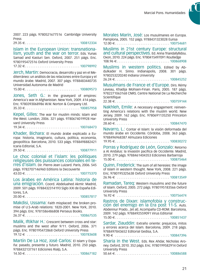2007. 223 págs. 9780521677516 Cambridge University Press

29.35 E . . 100812334

Islam in the European Union: transnationa- lism, youth and the war on terror. Eds. Yunas Samad and Kasturi Sen. Oxford, 2007. 251 págs. Enc. 9780195472516 Oxford University Press

17.32 E . . 100798992

Jerch, Martin: Democracia, desarrollo y paz en el Mediterráneo: un análisis de las relaciones entre Europa y el mundo árabe. Madrid, 2007. 307 págs. 9788483440735 Universidad Autonoma de Madrid 15.00 E . . 100809573

Jones, Seth G.: In the graveyard of empires: America´s war in Afghanistan. New York, 2009. 414 págs. Enc. 9780393068986 W.W. Norton & Company Ltd. 35.33 E . . 100857958

Kepel, Gilles: The war for muslim minds: Islam and the West. London, 2006. 321 págs. 9780674019928 Harvard University Press

19.34 E . . 100768473

Khader, Bichara: El mundo árabe explicado a Europa: historia, imaginario, cultura, política, economía, geopolítica. Barcelona, 2010. 533 págs. 9788498882421 Icaria Editorial, S.A.

 $29.50 \in . . . . . . . . . . . . . . . . . . . . . . . . 100877911$ 

Le choc colonial et l'islam: les politiques religieuses des puissances coloniales en te-<br>rres d'islam. Dir. Pierre-Jean Luizard. Paris, 2006. 545 págs. 9782707146960 Editions la Decouverte 43.03 E . . 100775370

Los árabes en América Latina: historia de una emigración. Coord. Abdeluahed Akmir. Madrid, 2009. 501 págs. 9788432314193 Siglo XXI de España Editores, S.A.

20.00 E . . 100857817

Makdisi, Ussama: Faith misplaced: the broken promise of U.S-Arab relations: 1820-2001. New York, 2010. 394 págs. Enc. 9781586486808 Perseus Books. 26.37 E . . 100867535

Malik, Iftikhar H.: Crescent between cross and star: muslims and the west after 9/11. Oxford, 2006. 371 págs. Enc. 9780195472868 Oxford University Press 19.12 E . . 100783608

Martín De La Hoz, José Carlos: El Islam y España: pasado, presente y futuro. Madrid, 2010. 250 págs. 9788432137761 Ediciones Rialp, S.A. 14.50 E . . 100867182 Morales Marín, José: Los musulmanes en Europa. Pamplona, 2005. 152 págs. 9788431323028 Eunsa 12.00 E . . 100754681

Muslims in 21st century Europe: structural and cultural perspectives. Ed. Anna Triandafyllidou. Oxon, 2010. 224 págs. Enc. 9780415497091 Routledge 108.96 4 . . 100868908

Muslims in western politics. Edited by Abdulkader H. Sinno. Indianapolis, 2008. 301 págs. 9780253220240 Indiana University  $26.24 \in$  100845252

Musulmans de France et d'Europe. Dirs. Rémy Leveau, Khadija Mohsen-Finan. Paris, 2005. 187 págs. 9782271063168 CNRS. Centre National De La Recherche **Scientifique** 

22.38 E . . 100759144

Nakhleh, Emile: A necessary engagement: reinventing America´s relations with the muslim world. New Jersey, 2009. 162 págs. Enc. 9780691135250 Princeton University Press

 $28.60 \in \{1, 2, \ldots, 1, \ldots, 1, \ldots, 1, \ldots, 100847470\}$ 

Navarro, L.: Contar el Islam: la visión deformada del mundo árabe en Occidente. Córdoba, 2008. 363 págs. 9788496968387 Almuzara Ediciones

19.95 E . . 100830272

Porras y Rodríguez de León, Gonzalo: Retorno a Al Andalus: la invasión pacífica de Occidente. Madrid, 2010. 279 págs. 9788461404353 Ediciones Barbarroja  $15.00 \in \ldots \ldots \ldots \ldots \ldots \ldots \ldots \ldots \ldots \ldots 100875464$ 

Quinn, Frederick: The sum of all heresies: the image of Islam in western thought. New York, 2008. 221 págs. Enc. 9780195325638 Oxford University Press 26.96 E . . 100813549

Ramadan, Tareq: Western musulims and the future of Islam. Oxford, 2005. 272 págs. 9780195183566 Oxford University Press

16.92 E . . 100756474

Rastros de Dixan: islamofobia y construc- ción del enemigo en la Era post 11-S. Auts. Abdennur Prado...[et al]. Acompaña CD-ROM. Barcelona, 2009. 142 págs. 9788492559091 Virus Editorial  $15.00 \in \ldots \ldots \ldots \ldots \ldots \ldots \ldots \ldots \ldots \ldots 100851437$ 

Sardar, Ziauddin: Extraño oriente: prejuicios, mitos y errores acerca del Islam. Barcelona, 2009. 218 págs. 9788497843652 Editorial Gedisa, S.A.

 $9.90 \in 100847396$ 

Sharia in the West. Eds. Rex Ahdar, Nicholas Aroney. Oxford, 2010. 352 págs. Enc. 9780199582914 Oxford University Press 50.64 E . . 100886588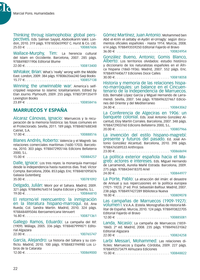b.

Thinking throug islamophobia: global pers- pectives. Eds. Salman Sayyid, Abdoolkarim Vakil. London, 2010. 319 págs. 9781850659907 C. Hurst & Co. Ltd. 25.03 E . . 100887606

Wallace-Murphy, Tim: La herencia cultural del Islam en Occidente. Barcelona, 2007. 285 págs. 9788498011906 Editorial Blume

22.00 E . . 100813400

Whitaker, Brian: What´s 'really' wrong with the Middle East. London, 2009. 384 págs. 9780863566240 Saqi Books 15.77 E . . 100857138

Winning the unwinnable war: America´s selfcrippled response to islamic totalitarianism. Edited by Elan Journo. Plymouth, 2009. 255 págs. 9780739135419 Lexington Books

23.89 E . . 100858416

# **MARRUECOS Y ESPAÑA**

Alcaraz Cánovas, Ignacio: Marruecos y la recuperación de la memoria histórica: las fosas comunes en el Protectorado. Sevilla, 2011. 189 págs. 9788487688348 Catriel, S.A.

17.00 E . . 100888516

Blanes Andrés, Roberto: Valencia y el Magreb: las relaciones comerciales marítimas (1600-1703). Barcelona, 2010. 303 págs. 9788472905146 Edicions Bellaterra 2000, S.L.

15.00 E . . 100884257

Dalle, Ignace: Los tres reyes: la monarquía marroquí desde la independencia hasta nuestros días. Trad. Víctor Compta. Barcelona, 2006. 853 págs. Enc. 9788481095876 Galaxia Gutenberg 35.00 E . . 100781092

Delgado, Julián: Morir por el Sahara. Madrid, 2009. 321 págs. 9788496764514 Sepha Edicion y Diseño, S.L.  $19.00 \in \ldots \ldots \ldots \ldots \ldots \ldots \ldots \ldots \ldots \ldots 100846810$ 

El retorno/el reencuentro: la inmigración en la literatura hispano-marroquí. Ed. Ana Rueda; Col. Sandra Martín. Madrid, 2010. 324 págs. 9788484895046 Iberoamericana Vervuert 16.80 E . . 100871361

Gallego Ramos, Eduardo: La campaña del Rif:

(1909). Málaga, 2005. 336 págs. 9788487999871 Editorial Algazara

 $22.00 \in 100765747$ 

García, Alejandro: La historia del Sáhara y su conflicto. Madrid, 2010. 100 págs. 9788483194980 Los Libros de la Catarata 12.00 E . . 100869000 Gómez Martínez, Juan Antonio: Mohammed ben Abd el-Krim el-Jattaby el-Aydiri el-Urriagly: según documentos oficiales españoles - Hasta 1914. Murcia, 2008. 614 págs. 9788493559250 Editorial Fajardo el Bravo 36.00 E . . 100824954

González Bueno, Antonio; Gomis Blanco, Alberto: Los territorios olvidados: estudio histórico y diccionario de los naturalistas españoles en el África hispana (1860-1936). Madrid, 2007. 552 págs. Enc. 9788497440677 Ediciones Doce Calles

 $30.00 \in \ldots, \ldots, \ldots, \ldots, \ldots, \ldots, \ldots, 100818058$ 

Historia y memoria de las relaciones hispa- no-marroquíes: un balance en el Cincuen- tenario de la Independencia de Marruecos. Eds. Bernabé López García y Miguel Hernando de Larramendi. Sevilla, 2007. 546 págs. 9788496327467 Ediciones del Oriente y del Mediterraneo

 $24.00 \in \ldots, \ldots, \ldots, \ldots, \ldots, \ldots, \ldots, 100843062$ 

La Conferencia de Algeciras en 1906: un banquete colonial. Eds. José Antonio González Alcantud, Eloy Martín Corrales. Barcelona, 2007. 348 págs. 9788472903760 Edicions Bellaterra 2000, S.L.

20.00 E . . 100807966

La invención del estilo hispano-magrebí: presente y futuros del pasado. Ed. José Antonio González Alcantud. Barcelona, 2010. 398 págs. 9788476589533 Anthropos

23.00 E . . 100868694

La política exterior española hacia el Ma- greb: actores e intereses. Eds. Miguel Hernando de Larramendi, Aurelia Mañé Estrada. Barcelona, 2009. 275 págs. 9788434418370 Ariel

24.00 E . . 100844977

La Porte, Pablo: La atracción del imán: el desastre de Annual y sus repercusiones en la política europea (1921- 1923). 2ª ed. Prol. Sebastián Balfour. Madrid, 2007. 238 págs. 9788497427289 Biblioteca Nueva

18.00 E . . 100809078

Las campañas de Marruecos (1909-1927): volumen I. V.V.A.A. (Estela. Monografías de Historia Militar de España). Murcia, 2010. 124 págs. 9788493822705 Editorial Fajardo el Bravo

 $12.00 \in$  100885081

Landa, Nicasio: La campaña de Marruecos (1859- 1860). 2ª ed. Madrid, 2008. 235 págs. 9788496531062 Editorial Algazara

 $22.00 \in 100824258$ 

Larbi Messari, Mohammed: Las relaciones difíciles: Marruecos y España. Córdoba, 2009. 227 págs. 9788492573479 Almuzara Ediciones  $15.00 \in 100848822$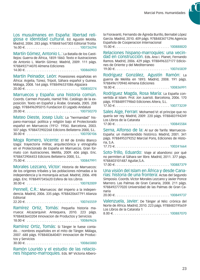Los musulmanes en España: libertad reli- giosa e identidad cultural. Ed. Agustín Motilla. Madrid, 2004. 283 págs. 9788481647303 Editorial Trotta  $16.00 \in \ldots \ldots \ldots \ldots \ldots \ldots \ldots \ldots \ldots \ldots \ldots 100726294$ 

Martín Gómez, Antonio L.: La Batalla de los Castillejos: Guerra de África, 1859-1860. Texto e ilustraciones de Antonio L. Martín Gómez. Madrid, 2009. 111 págs. 9788492714070 Almena Ediciones

 $14.00 \in \ldots \ldots \ldots \ldots \ldots \ldots \ldots \ldots \ldots \ldots 100860903$ 

Martín Peinador, León: Posesiones españolas en África: Argelia, Túnez, Trípoli, Sáhara español y Guinea. Málaga, 2008. 164 págs. 9788496531086 Algazara 20.00 E . . 100850274

Marruecos y España: una historia común. Coords. Carmen Pozuelo, Hamid Triki. Catálogo de la exposición. Texto en Español y Árabe. Granada, 2005. 208 págs. 9788496395015 Fundacion El Legado Andalusi  $20.00 \in \ldots \ldots \ldots \ldots \ldots \ldots \ldots \ldots \ldots \ldots 100750270$ 

Mateo Dieste, Josep Lluís: La "hermandad" hispano-marroquí: política y religión bajo el Protectorado español en Marruecos (1912- 1956). Barcelona, 2003. 507 págs. 9788472902268 Edicions Bellaterra 2000, S.L.  $30.00 \in \ldots \ldots \ldots \ldots \ldots \ldots \ldots \ldots \ldots \ldots 100700106$ 

Moga Romero, Vicente: El Rif de Emilio Blanco Izaga: trayectoria militar, arquitectónica y etnografía en el Protectorado de España en Marruecos. Gran formato con ilustraciones. Melilla, 2009. 606 págs. Enc. 9788472904453 Edicions Bellaterra 2000, S.L.

 $75.00 \in \ldots \ldots \ldots \ldots \ldots \ldots \ldots \ldots \ldots \ldots 100847991$ 

Morales Lezcano, Víctor: Historia de Marruecos: de los orígenes tribales y las poblaciones nómadas a la independencia y la monarquía actual. Madrid, 2006. 498 págs. Enc. 9788497345620 Esfera de los Libros 30.00 E . . 100782009

Pennell, C.R.: Marruecos: del imperio a la independencia. Madrid, 2006. 335 págs. 9788420647791 Alianza Editorial

22.20 E . . 100765559

Ramírez Ortiz, Tomás: Pequeña historia marrueca: Alcazarquivir. Antequera, 2010. 223 págs. 9788483643204 Innovacion de Productos y Servicios  $18.00 \in 100869626$ 

Ramírez Ortiz, Tomás: Si Tánger le fuese contado...: nombres españoles en el mito de Tánger. Málaga, 2007. 688 págs. 9788483640401 Innovacion de Productos y Servicios<br>30.00 €…………

. . . . . . . . . . . . . . . . . 100865880

Ramón Lourido y el estudio de las relacio-<br>nes hispano-marroquíes. Eds. Mª Victoria Albero-

la Fioravanti, Fernando de Ágreda Burillo, Bernabé López García. Madrid, 2010. 409 págs. 9788483471296 Agencia Española de Cooperacion Internacional

 $15.00 \in \ldots, \ldots, \ldots, \ldots, \ldots, \ldots, \ldots, 100888820$ 

Relaciones hispano-marroquíes: una vecin- dad en construcción. Eds. Ana I. Planet, Fernando Ramos. Madrid, 2006. 429 págs. 9788496327177 Ediciones de Oriente y del Mediterraneo

 $19.00 \in \ldots \ldots \ldots \ldots \ldots \ldots \ldots \ldots \ldots \ldots 100765839$ 

Rodríguez González, Agustín Ramón: La guerra de Melilla en 1893. Madrid, 2008. 191 págs. 9788496170940 Almena Ediciones

18.00 E . . 100836991

Rodríguez Magda, Rosa María: La España convertida al Islam. Prol. Jon Juaristi. Barcelona, 2006. 170 págs. 9788489779860 Ediciones Altera, S.L.

17.50 E . . 100773239

Sales Aige, Ferran: Mohamed VI: el príncipe que no quería ser rey. Madrid, 2009. 220 págs. 9788483194249 Los Libros de la Catarata 17.00 E . . 100845584

Serna, Alfonso de la: Al sur de Tarifa: Marruecos-España: un malentendido histórico. Madrid, 2001. 341 págs. 9788495379252 Marcial Pons, Ediciones de Histo- $\overline{\mathsf{ria}} \mathsf{T} \mathsf{S} \, \mathsf{A}$ 

17.73 E . . 100241664

Soto-Trillo, Eduardo: Viaje al abandono: por qué no permiten al Sáhara ser libre. Madrid, 2011. 377 págs. 9788403101487 Aguilar,S.A.

17.00 E . . 100887379

Una visión del Islam en África y desde Cana- rias: historia de una frontera: Actas del Segundo Simposio. Coords. Víctor Morales Lezcano y Javier Ponce Marrero. Las Palmas de Gran Canaria, 2008. 211 págs. 9788492777020 Universidad de las Palmas de Gran Canaria

20.00 E . . 100849737

Valenzuela, Javier: De Tánger al Nilo: crónica del Norte de África. Madrid, 2010. 223 págs. 9788483195659 Los Libros de la Catarata 1

8.00 E . . 100887070